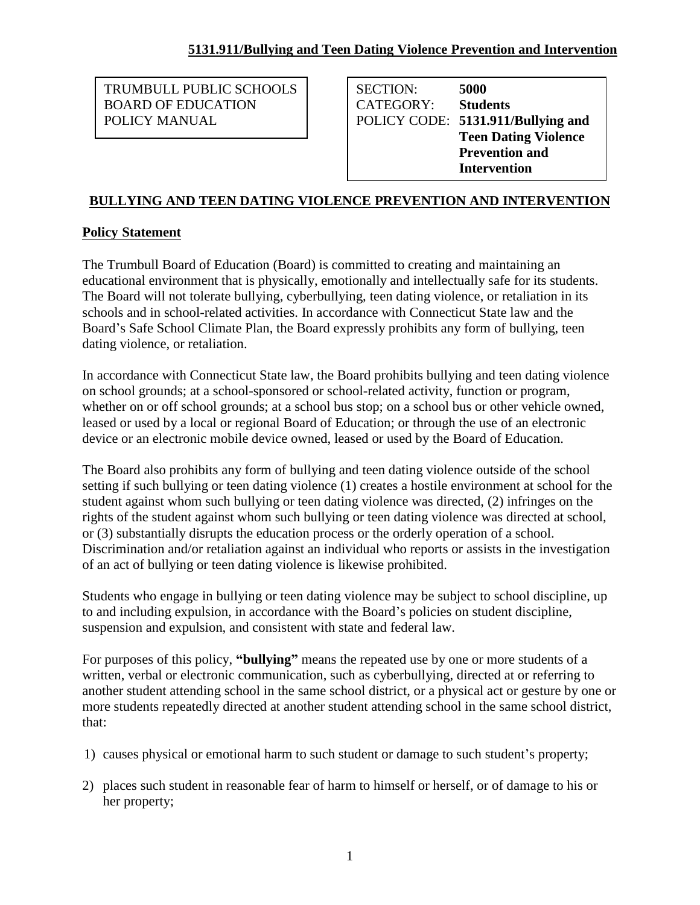TRUMBULL PUBLIC SCHOOLS BOARD OF EDUCATION POLICY MANUAL

SECTION: **5000** CATEGORY: **Students** POLICY CODE: **5131.911/Bullying and Teen Dating Violence Prevention and Intervention**

# **BULLYING AND TEEN DATING VIOLENCE PREVENTION AND INTERVENTION**

# **Policy Statement**

The Trumbull Board of Education (Board) is committed to creating and maintaining an educational environment that is physically, emotionally and intellectually safe for its students. The Board will not tolerate bullying, cyberbullying, teen dating violence, or retaliation in its schools and in school-related activities. In accordance with Connecticut State law and the Board's Safe School Climate Plan, the Board expressly prohibits any form of bullying, teen dating violence, or retaliation.

In accordance with Connecticut State law, the Board prohibits bullying and teen dating violence on school grounds; at a school-sponsored or school-related activity, function or program, whether on or off school grounds; at a school bus stop; on a school bus or other vehicle owned, leased or used by a local or regional Board of Education; or through the use of an electronic device or an electronic mobile device owned, leased or used by the Board of Education.

The Board also prohibits any form of bullying and teen dating violence outside of the school setting if such bullying or teen dating violence (1) creates a hostile environment at school for the student against whom such bullying or teen dating violence was directed, (2) infringes on the rights of the student against whom such bullying or teen dating violence was directed at school, or (3) substantially disrupts the education process or the orderly operation of a school. Discrimination and/or retaliation against an individual who reports or assists in the investigation of an act of bullying or teen dating violence is likewise prohibited.

Students who engage in bullying or teen dating violence may be subject to school discipline, up to and including expulsion, in accordance with the Board's policies on student discipline, suspension and expulsion, and consistent with state and federal law.

For purposes of this policy, **"bullying"** means the repeated use by one or more students of a written, verbal or electronic communication, such as cyberbullying, directed at or referring to another student attending school in the same school district, or a physical act or gesture by one or more students repeatedly directed at another student attending school in the same school district, that:

- 1) causes physical or emotional harm to such student or damage to such student's property;
- 2) places such student in reasonable fear of harm to himself or herself, or of damage to his or her property;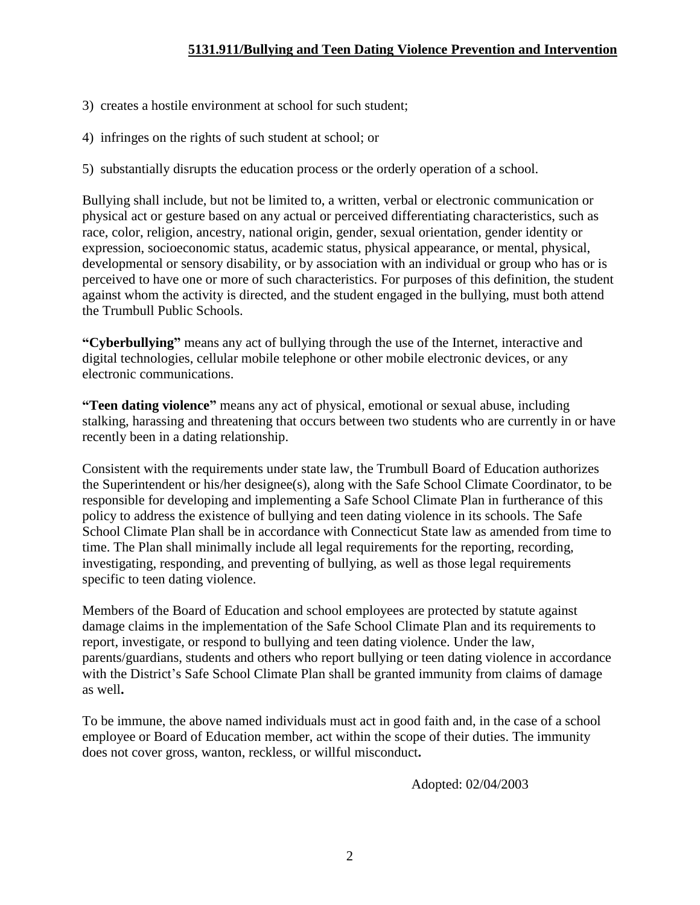- 3) creates a hostile environment at school for such student;
- 4) infringes on the rights of such student at school; or
- 5) substantially disrupts the education process or the orderly operation of a school.

Bullying shall include, but not be limited to, a written, verbal or electronic communication or physical act or gesture based on any actual or perceived differentiating characteristics, such as race, color, religion, ancestry, national origin, gender, sexual orientation, gender identity or expression, socioeconomic status, academic status, physical appearance, or mental, physical, developmental or sensory disability, or by association with an individual or group who has or is perceived to have one or more of such characteristics. For purposes of this definition, the student against whom the activity is directed, and the student engaged in the bullying, must both attend the Trumbull Public Schools.

**"Cyberbullying"** means any act of bullying through the use of the Internet, interactive and digital technologies, cellular mobile telephone or other mobile electronic devices, or any electronic communications.

**"Teen dating violence"** means any act of physical, emotional or sexual abuse, including stalking, harassing and threatening that occurs between two students who are currently in or have recently been in a dating relationship.

Consistent with the requirements under state law, the Trumbull Board of Education authorizes the Superintendent or his/her designee(s), along with the Safe School Climate Coordinator, to be responsible for developing and implementing a Safe School Climate Plan in furtherance of this policy to address the existence of bullying and teen dating violence in its schools. The Safe School Climate Plan shall be in accordance with Connecticut State law as amended from time to time. The Plan shall minimally include all legal requirements for the reporting, recording, investigating, responding, and preventing of bullying, as well as those legal requirements specific to teen dating violence.

Members of the Board of Education and school employees are protected by statute against damage claims in the implementation of the Safe School Climate Plan and its requirements to report, investigate, or respond to bullying and teen dating violence. Under the law, parents/guardians, students and others who report bullying or teen dating violence in accordance with the District's Safe School Climate Plan shall be granted immunity from claims of damage as well**.**

To be immune, the above named individuals must act in good faith and, in the case of a school employee or Board of Education member, act within the scope of their duties. The immunity does not cover gross, wanton, reckless, or willful misconduct**.**

Adopted: 02/04/2003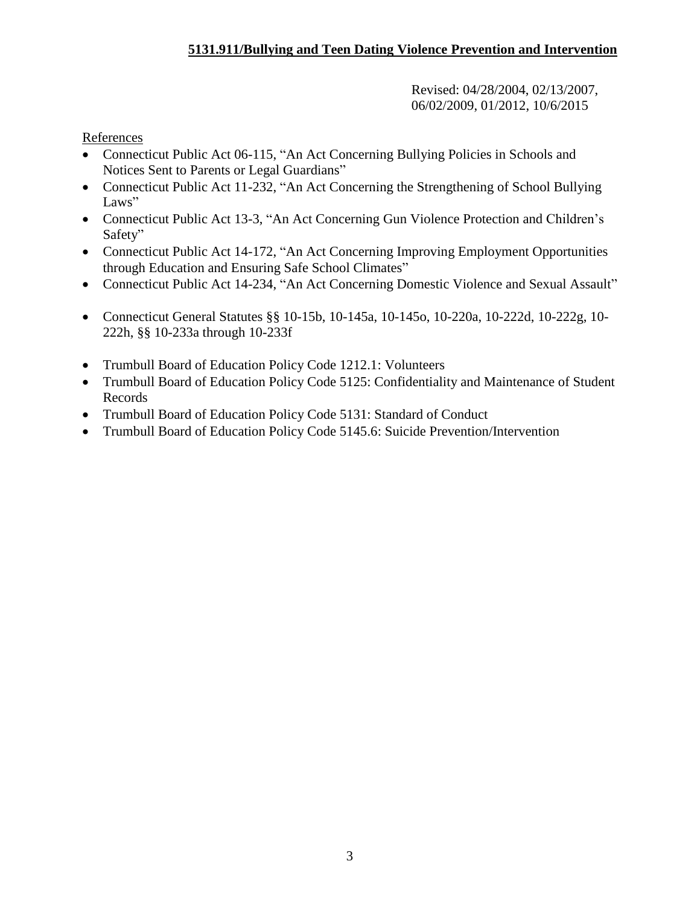Revised: 04/28/2004, 02/13/2007, 06/02/2009, 01/2012, 10/6/2015

References

- Connecticut Public Act 06-115, "An Act Concerning Bullying Policies in Schools and Notices Sent to Parents or Legal Guardians"
- Connecticut Public Act 11-232, "An Act Concerning the Strengthening of School Bullying Laws"
- Connecticut Public Act 13-3, "An Act Concerning Gun Violence Protection and Children's Safety"
- Connecticut Public Act 14-172, "An Act Concerning Improving Employment Opportunities through Education and Ensuring Safe School Climates"
- Connecticut Public Act 14-234, "An Act Concerning Domestic Violence and Sexual Assault"
- Connecticut General Statutes §§ 10-15b, 10-145a, 10-145o, 10-220a, 10-222d, 10-222g, 10-222h, §§ 10-233a through 10-233f
- Trumbull Board of Education Policy Code 1212.1: Volunteers
- Trumbull Board of Education Policy Code 5125: Confidentiality and Maintenance of Student Records
- Trumbull Board of Education Policy Code 5131: Standard of Conduct
- Trumbull Board of Education Policy Code 5145.6: Suicide Prevention/Intervention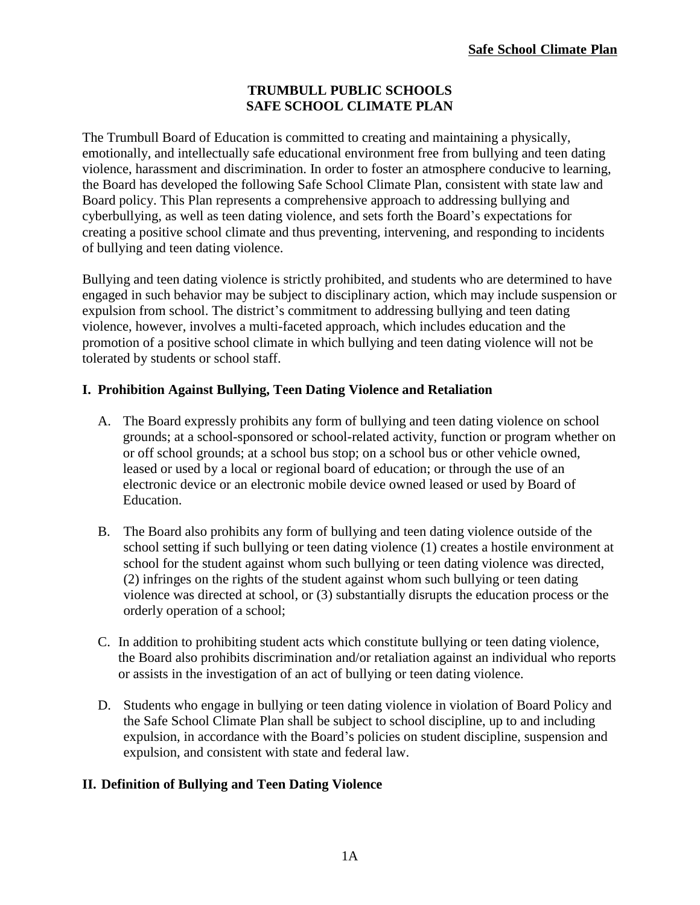### **TRUMBULL PUBLIC SCHOOLS SAFE SCHOOL CLIMATE PLAN**

The Trumbull Board of Education is committed to creating and maintaining a physically, emotionally, and intellectually safe educational environment free from bullying and teen dating violence, harassment and discrimination. In order to foster an atmosphere conducive to learning, the Board has developed the following Safe School Climate Plan, consistent with state law and Board policy. This Plan represents a comprehensive approach to addressing bullying and cyberbullying, as well as teen dating violence, and sets forth the Board's expectations for creating a positive school climate and thus preventing, intervening, and responding to incidents of bullying and teen dating violence.

Bullying and teen dating violence is strictly prohibited, and students who are determined to have engaged in such behavior may be subject to disciplinary action, which may include suspension or expulsion from school. The district's commitment to addressing bullying and teen dating violence, however, involves a multi-faceted approach, which includes education and the promotion of a positive school climate in which bullying and teen dating violence will not be tolerated by students or school staff.

## **I. Prohibition Against Bullying, Teen Dating Violence and Retaliation**

- A. The Board expressly prohibits any form of bullying and teen dating violence on school grounds; at a school-sponsored or school-related activity, function or program whether on or off school grounds; at a school bus stop; on a school bus or other vehicle owned, leased or used by a local or regional board of education; or through the use of an electronic device or an electronic mobile device owned leased or used by Board of Education.
- B. The Board also prohibits any form of bullying and teen dating violence outside of the school setting if such bullying or teen dating violence (1) creates a hostile environment at school for the student against whom such bullying or teen dating violence was directed, (2) infringes on the rights of the student against whom such bullying or teen dating violence was directed at school, or (3) substantially disrupts the education process or the orderly operation of a school;
- C. In addition to prohibiting student acts which constitute bullying or teen dating violence, the Board also prohibits discrimination and/or retaliation against an individual who reports or assists in the investigation of an act of bullying or teen dating violence.
- D. Students who engage in bullying or teen dating violence in violation of Board Policy and the Safe School Climate Plan shall be subject to school discipline, up to and including expulsion, in accordance with the Board's policies on student discipline, suspension and expulsion, and consistent with state and federal law.

### **II. Definition of Bullying and Teen Dating Violence**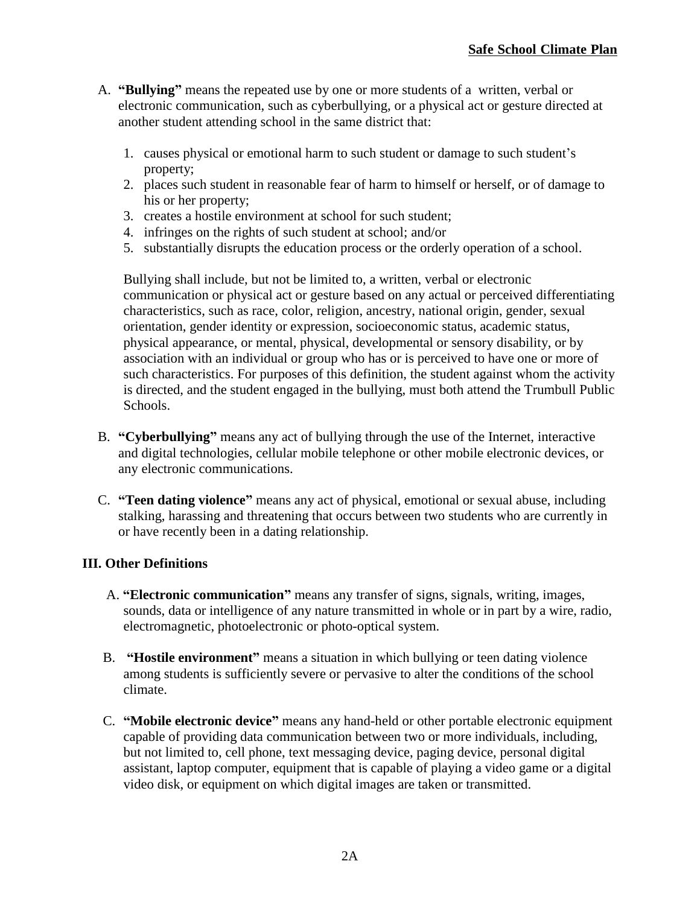- A. **"Bullying"** means the repeated use by one or more students of a written, verbal or electronic communication, such as cyberbullying, or a physical act or gesture directed at another student attending school in the same district that:
	- 1. causes physical or emotional harm to such student or damage to such student's property;
	- 2. places such student in reasonable fear of harm to himself or herself, or of damage to his or her property;
	- 3. creates a hostile environment at school for such student;
	- 4. infringes on the rights of such student at school; and/or
	- 5. substantially disrupts the education process or the orderly operation of a school.

 Bullying shall include, but not be limited to, a written, verbal or electronic communication or physical act or gesture based on any actual or perceived differentiating characteristics, such as race, color, religion, ancestry, national origin, gender, sexual orientation, gender identity or expression, socioeconomic status, academic status, physical appearance, or mental, physical, developmental or sensory disability, or by association with an individual or group who has or is perceived to have one or more of such characteristics. For purposes of this definition, the student against whom the activity is directed, and the student engaged in the bullying, must both attend the Trumbull Public Schools.

- B. **"Cyberbullying"** means any act of bullying through the use of the Internet, interactive and digital technologies, cellular mobile telephone or other mobile electronic devices, or any electronic communications.
- C. **"Teen dating violence"** means any act of physical, emotional or sexual abuse, including stalking, harassing and threatening that occurs between two students who are currently in or have recently been in a dating relationship.

### **III. Other Definitions**

- A. **"Electronic communication"** means any transfer of signs, signals, writing, images, sounds, data or intelligence of any nature transmitted in whole or in part by a wire, radio, electromagnetic, photoelectronic or photo-optical system.
- B. **"Hostile environment"** means a situation in which bullying or teen dating violence among students is sufficiently severe or pervasive to alter the conditions of the school climate.
- C. **"Mobile electronic device"** means any hand-held or other portable electronic equipment capable of providing data communication between two or more individuals, including, but not limited to, cell phone, text messaging device, paging device, personal digital assistant, laptop computer, equipment that is capable of playing a video game or a digital video disk, or equipment on which digital images are taken or transmitted.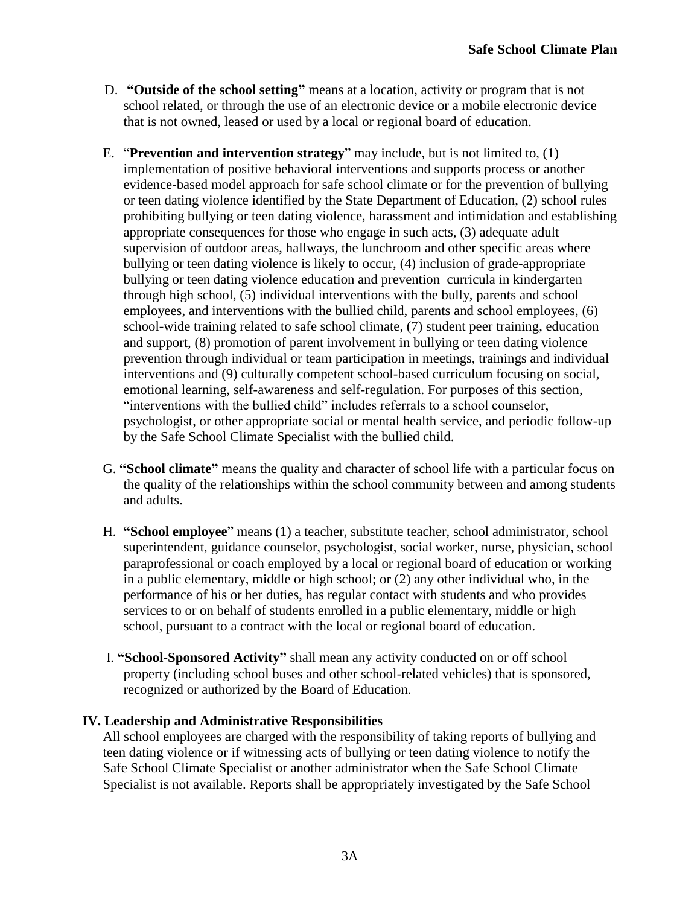- D. **"Outside of the school setting"** means at a location, activity or program that is not school related, or through the use of an electronic device or a mobile electronic device that is not owned, leased or used by a local or regional board of education.
- E. "**Prevention and intervention strategy**" may include, but is not limited to, (1) implementation of positive behavioral interventions and supports process or another evidence-based model approach for safe school climate or for the prevention of bullying or teen dating violence identified by the State Department of Education, (2) school rules prohibiting bullying or teen dating violence, harassment and intimidation and establishing appropriate consequences for those who engage in such acts, (3) adequate adult supervision of outdoor areas, hallways, the lunchroom and other specific areas where bullying or teen dating violence is likely to occur, (4) inclusion of grade-appropriate bullying or teen dating violence education and prevention curricula in kindergarten through high school, (5) individual interventions with the bully, parents and school employees, and interventions with the bullied child, parents and school employees, (6) school-wide training related to safe school climate, (7) student peer training, education and support, (8) promotion of parent involvement in bullying or teen dating violence prevention through individual or team participation in meetings, trainings and individual interventions and (9) culturally competent school-based curriculum focusing on social, emotional learning, self-awareness and self-regulation. For purposes of this section, "interventions with the bullied child" includes referrals to a school counselor, psychologist, or other appropriate social or mental health service, and periodic follow-up by the Safe School Climate Specialist with the bullied child.
- G. **"School climate"** means the quality and character of school life with a particular focus on the quality of the relationships within the school community between and among students and adults.
- H. **"School employee**" means (1) a teacher, substitute teacher, school administrator, school superintendent, guidance counselor, psychologist, social worker, nurse, physician, school paraprofessional or coach employed by a local or regional board of education or working in a public elementary, middle or high school; or (2) any other individual who, in the performance of his or her duties, has regular contact with students and who provides services to or on behalf of students enrolled in a public elementary, middle or high school, pursuant to a contract with the local or regional board of education.
- I. **"School-Sponsored Activity"** shall mean any activity conducted on or off school property (including school buses and other school-related vehicles) that is sponsored, recognized or authorized by the Board of Education.

### **IV. Leadership and Administrative Responsibilities**

All school employees are charged with the responsibility of taking reports of bullying and teen dating violence or if witnessing acts of bullying or teen dating violence to notify the Safe School Climate Specialist or another administrator when the Safe School Climate Specialist is not available. Reports shall be appropriately investigated by the Safe School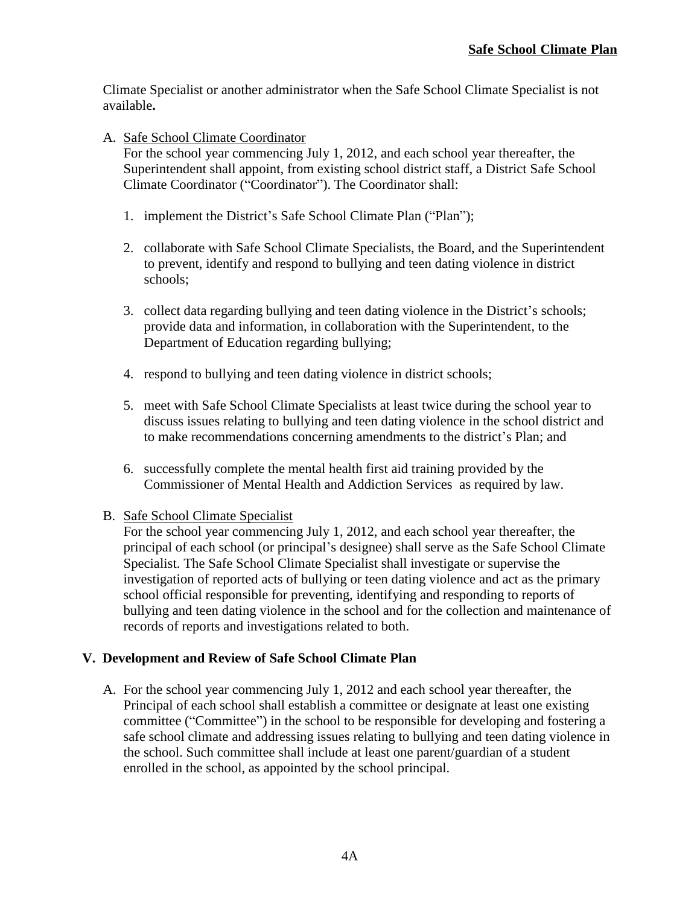Climate Specialist or another administrator when the Safe School Climate Specialist is not available**.**

A. Safe School Climate Coordinator

For the school year commencing July 1, 2012, and each school year thereafter, the Superintendent shall appoint, from existing school district staff, a District Safe School Climate Coordinator ("Coordinator"). The Coordinator shall:

- 1. implement the District's Safe School Climate Plan ("Plan");
- 2. collaborate with Safe School Climate Specialists, the Board, and the Superintendent to prevent, identify and respond to bullying and teen dating violence in district schools;
- 3. collect data regarding bullying and teen dating violence in the District's schools; provide data and information, in collaboration with the Superintendent, to the Department of Education regarding bullying;
- 4. respond to bullying and teen dating violence in district schools;
- 5. meet with Safe School Climate Specialists at least twice during the school year to discuss issues relating to bullying and teen dating violence in the school district and to make recommendations concerning amendments to the district's Plan; and
- 6. successfully complete the mental health first aid training provided by the Commissioner of Mental Health and Addiction Services as required by law.
- B. Safe School Climate Specialist

 For the school year commencing July 1, 2012, and each school year thereafter, the principal of each school (or principal's designee) shall serve as the Safe School Climate Specialist. The Safe School Climate Specialist shall investigate or supervise the investigation of reported acts of bullying or teen dating violence and act as the primary school official responsible for preventing, identifying and responding to reports of bullying and teen dating violence in the school and for the collection and maintenance of records of reports and investigations related to both.

### **V. Development and Review of Safe School Climate Plan**

A. For the school year commencing July 1, 2012 and each school year thereafter, the Principal of each school shall establish a committee or designate at least one existing committee ("Committee") in the school to be responsible for developing and fostering a safe school climate and addressing issues relating to bullying and teen dating violence in the school. Such committee shall include at least one parent/guardian of a student enrolled in the school, as appointed by the school principal.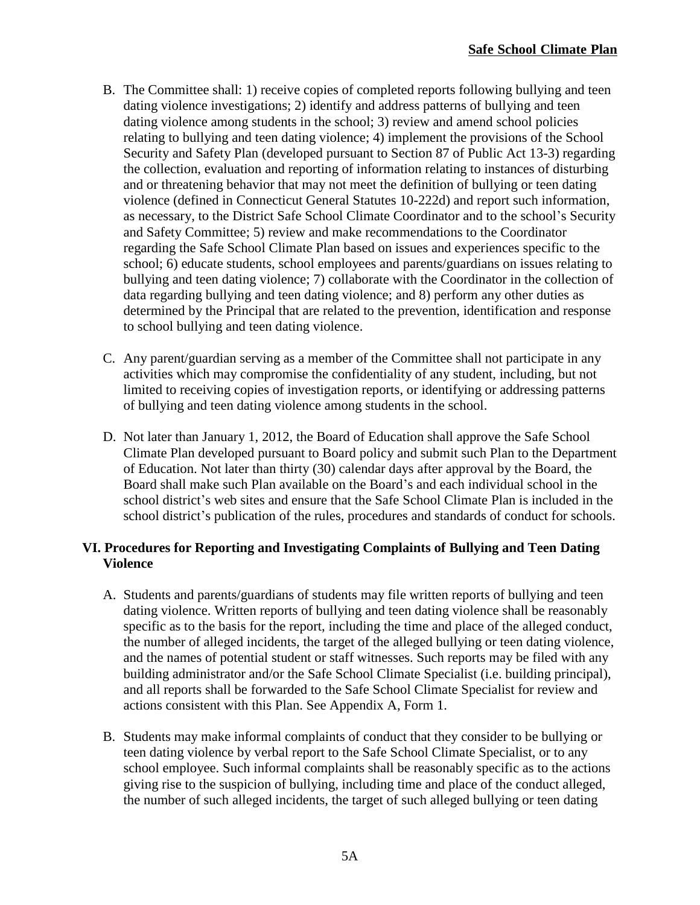- B. The Committee shall: 1) receive copies of completed reports following bullying and teen dating violence investigations; 2) identify and address patterns of bullying and teen dating violence among students in the school; 3) review and amend school policies relating to bullying and teen dating violence; 4) implement the provisions of the School Security and Safety Plan (developed pursuant to Section 87 of Public Act 13-3) regarding the collection, evaluation and reporting of information relating to instances of disturbing and or threatening behavior that may not meet the definition of bullying or teen dating violence (defined in Connecticut General Statutes 10-222d) and report such information, as necessary, to the District Safe School Climate Coordinator and to the school's Security and Safety Committee; 5) review and make recommendations to the Coordinator regarding the Safe School Climate Plan based on issues and experiences specific to the school; 6) educate students, school employees and parents/guardians on issues relating to bullying and teen dating violence; 7) collaborate with the Coordinator in the collection of data regarding bullying and teen dating violence; and 8) perform any other duties as determined by the Principal that are related to the prevention, identification and response to school bullying and teen dating violence.
- C. Any parent/guardian serving as a member of the Committee shall not participate in any activities which may compromise the confidentiality of any student, including, but not limited to receiving copies of investigation reports, or identifying or addressing patterns of bullying and teen dating violence among students in the school.
- D. Not later than January 1, 2012, the Board of Education shall approve the Safe School Climate Plan developed pursuant to Board policy and submit such Plan to the Department of Education. Not later than thirty (30) calendar days after approval by the Board, the Board shall make such Plan available on the Board's and each individual school in the school district's web sites and ensure that the Safe School Climate Plan is included in the school district's publication of the rules, procedures and standards of conduct for schools.

## **VI. Procedures for Reporting and Investigating Complaints of Bullying and Teen Dating Violence**

- A. Students and parents/guardians of students may file written reports of bullying and teen dating violence. Written reports of bullying and teen dating violence shall be reasonably specific as to the basis for the report, including the time and place of the alleged conduct, the number of alleged incidents, the target of the alleged bullying or teen dating violence, and the names of potential student or staff witnesses. Such reports may be filed with any building administrator and/or the Safe School Climate Specialist (i.e. building principal), and all reports shall be forwarded to the Safe School Climate Specialist for review and actions consistent with this Plan. See Appendix A, Form 1.
- B. Students may make informal complaints of conduct that they consider to be bullying or teen dating violence by verbal report to the Safe School Climate Specialist, or to any school employee. Such informal complaints shall be reasonably specific as to the actions giving rise to the suspicion of bullying, including time and place of the conduct alleged, the number of such alleged incidents, the target of such alleged bullying or teen dating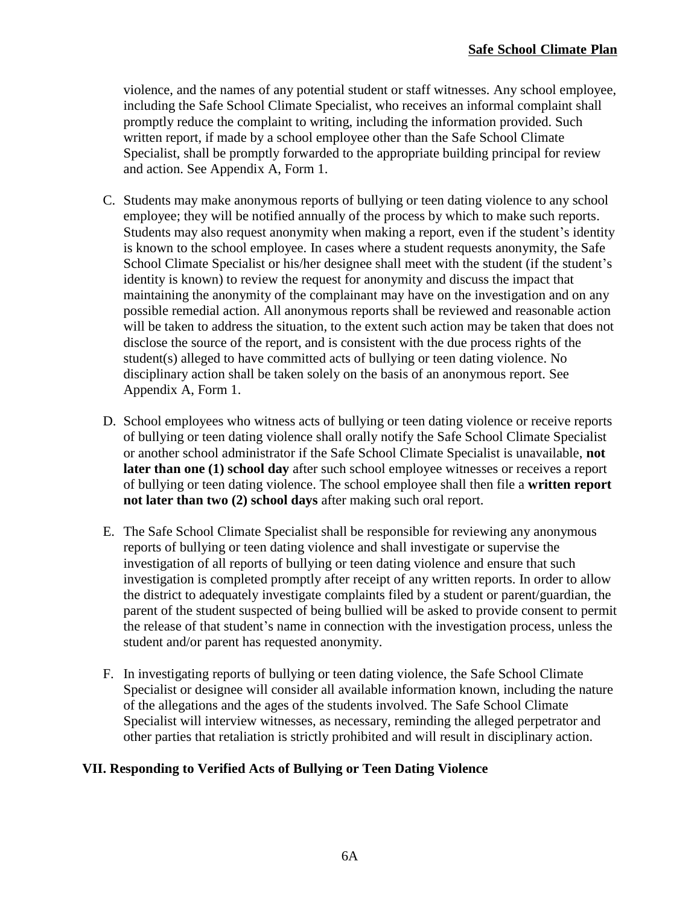violence, and the names of any potential student or staff witnesses. Any school employee, including the Safe School Climate Specialist, who receives an informal complaint shall promptly reduce the complaint to writing, including the information provided. Such written report, if made by a school employee other than the Safe School Climate Specialist, shall be promptly forwarded to the appropriate building principal for review and action. See Appendix A, Form 1.

- C. Students may make anonymous reports of bullying or teen dating violence to any school employee; they will be notified annually of the process by which to make such reports. Students may also request anonymity when making a report, even if the student's identity is known to the school employee. In cases where a student requests anonymity, the Safe School Climate Specialist or his/her designee shall meet with the student (if the student's identity is known) to review the request for anonymity and discuss the impact that maintaining the anonymity of the complainant may have on the investigation and on any possible remedial action. All anonymous reports shall be reviewed and reasonable action will be taken to address the situation, to the extent such action may be taken that does not disclose the source of the report, and is consistent with the due process rights of the student(s) alleged to have committed acts of bullying or teen dating violence. No disciplinary action shall be taken solely on the basis of an anonymous report. See Appendix A, Form 1.
- D. School employees who witness acts of bullying or teen dating violence or receive reports of bullying or teen dating violence shall orally notify the Safe School Climate Specialist or another school administrator if the Safe School Climate Specialist is unavailable, **not later than one (1) school day** after such school employee witnesses or receives a report of bullying or teen dating violence. The school employee shall then file a **written report not later than two (2) school days** after making such oral report.
- E. The Safe School Climate Specialist shall be responsible for reviewing any anonymous reports of bullying or teen dating violence and shall investigate or supervise the investigation of all reports of bullying or teen dating violence and ensure that such investigation is completed promptly after receipt of any written reports. In order to allow the district to adequately investigate complaints filed by a student or parent/guardian, the parent of the student suspected of being bullied will be asked to provide consent to permit the release of that student's name in connection with the investigation process, unless the student and/or parent has requested anonymity.
- F. In investigating reports of bullying or teen dating violence, the Safe School Climate Specialist or designee will consider all available information known, including the nature of the allegations and the ages of the students involved. The Safe School Climate Specialist will interview witnesses, as necessary, reminding the alleged perpetrator and other parties that retaliation is strictly prohibited and will result in disciplinary action.

### **VII. Responding to Verified Acts of Bullying or Teen Dating Violence**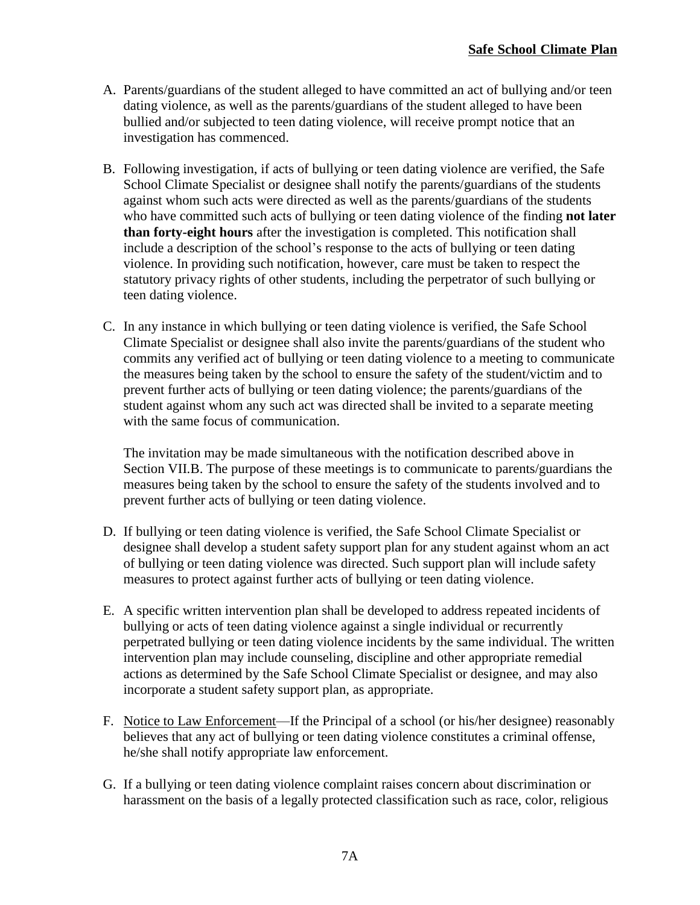- A. Parents/guardians of the student alleged to have committed an act of bullying and/or teen dating violence, as well as the parents/guardians of the student alleged to have been bullied and/or subjected to teen dating violence, will receive prompt notice that an investigation has commenced.
- B. Following investigation, if acts of bullying or teen dating violence are verified, the Safe School Climate Specialist or designee shall notify the parents/guardians of the students against whom such acts were directed as well as the parents/guardians of the students who have committed such acts of bullying or teen dating violence of the finding **not later than forty-eight hours** after the investigation is completed. This notification shall include a description of the school's response to the acts of bullying or teen dating violence. In providing such notification, however, care must be taken to respect the statutory privacy rights of other students, including the perpetrator of such bullying or teen dating violence.
- C. In any instance in which bullying or teen dating violence is verified, the Safe School Climate Specialist or designee shall also invite the parents/guardians of the student who commits any verified act of bullying or teen dating violence to a meeting to communicate the measures being taken by the school to ensure the safety of the student/victim and to prevent further acts of bullying or teen dating violence; the parents/guardians of the student against whom any such act was directed shall be invited to a separate meeting with the same focus of communication.

The invitation may be made simultaneous with the notification described above in Section VII.B. The purpose of these meetings is to communicate to parents/guardians the measures being taken by the school to ensure the safety of the students involved and to prevent further acts of bullying or teen dating violence.

- D. If bullying or teen dating violence is verified, the Safe School Climate Specialist or designee shall develop a student safety support plan for any student against whom an act of bullying or teen dating violence was directed. Such support plan will include safety measures to protect against further acts of bullying or teen dating violence.
- E. A specific written intervention plan shall be developed to address repeated incidents of bullying or acts of teen dating violence against a single individual or recurrently perpetrated bullying or teen dating violence incidents by the same individual. The written intervention plan may include counseling, discipline and other appropriate remedial actions as determined by the Safe School Climate Specialist or designee, and may also incorporate a student safety support plan, as appropriate.
- F. Notice to Law Enforcement—If the Principal of a school (or his/her designee) reasonably believes that any act of bullying or teen dating violence constitutes a criminal offense, he/she shall notify appropriate law enforcement.
- G. If a bullying or teen dating violence complaint raises concern about discrimination or harassment on the basis of a legally protected classification such as race, color, religious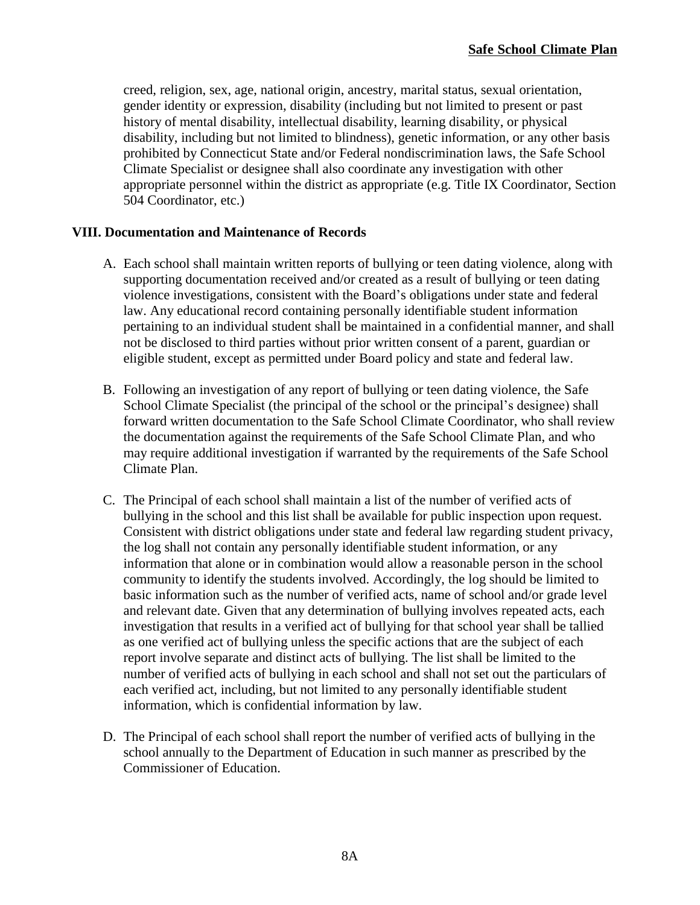creed, religion, sex, age, national origin, ancestry, marital status, sexual orientation, gender identity or expression, disability (including but not limited to present or past history of mental disability, intellectual disability, learning disability, or physical disability, including but not limited to blindness), genetic information, or any other basis prohibited by Connecticut State and/or Federal nondiscrimination laws, the Safe School Climate Specialist or designee shall also coordinate any investigation with other appropriate personnel within the district as appropriate (e.g. Title IX Coordinator, Section 504 Coordinator, etc.)

### **VIII. Documentation and Maintenance of Records**

- A. Each school shall maintain written reports of bullying or teen dating violence, along with supporting documentation received and/or created as a result of bullying or teen dating violence investigations, consistent with the Board's obligations under state and federal law. Any educational record containing personally identifiable student information pertaining to an individual student shall be maintained in a confidential manner, and shall not be disclosed to third parties without prior written consent of a parent, guardian or eligible student, except as permitted under Board policy and state and federal law.
- B. Following an investigation of any report of bullying or teen dating violence, the Safe School Climate Specialist (the principal of the school or the principal's designee) shall forward written documentation to the Safe School Climate Coordinator, who shall review the documentation against the requirements of the Safe School Climate Plan, and who may require additional investigation if warranted by the requirements of the Safe School Climate Plan.
- C. The Principal of each school shall maintain a list of the number of verified acts of bullying in the school and this list shall be available for public inspection upon request. Consistent with district obligations under state and federal law regarding student privacy, the log shall not contain any personally identifiable student information, or any information that alone or in combination would allow a reasonable person in the school community to identify the students involved. Accordingly, the log should be limited to basic information such as the number of verified acts, name of school and/or grade level and relevant date. Given that any determination of bullying involves repeated acts, each investigation that results in a verified act of bullying for that school year shall be tallied as one verified act of bullying unless the specific actions that are the subject of each report involve separate and distinct acts of bullying. The list shall be limited to the number of verified acts of bullying in each school and shall not set out the particulars of each verified act, including, but not limited to any personally identifiable student information, which is confidential information by law.
- D. The Principal of each school shall report the number of verified acts of bullying in the school annually to the Department of Education in such manner as prescribed by the Commissioner of Education.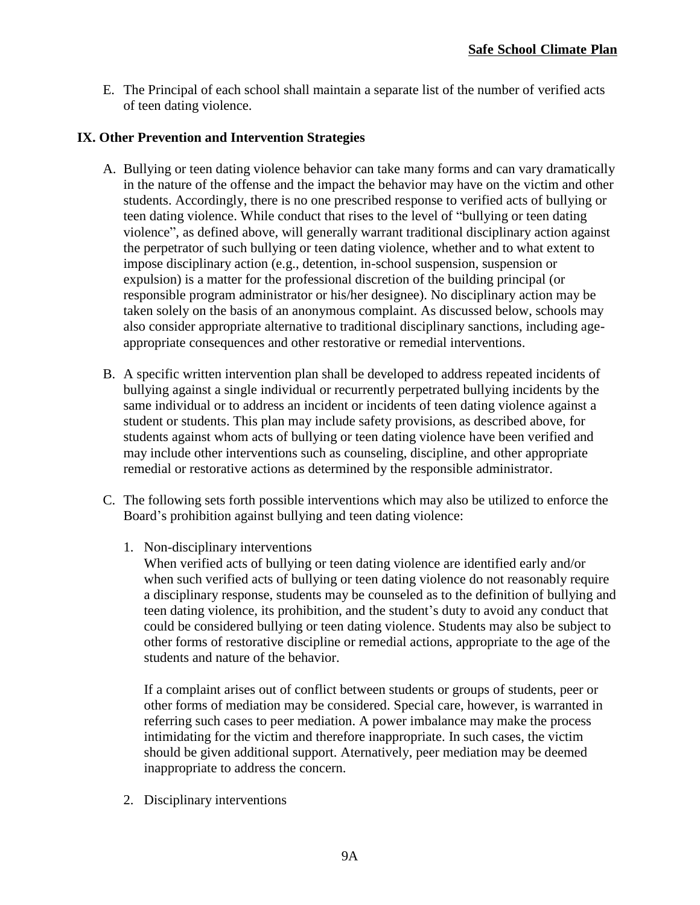E. The Principal of each school shall maintain a separate list of the number of verified acts of teen dating violence.

### **IX. Other Prevention and Intervention Strategies**

- A. Bullying or teen dating violence behavior can take many forms and can vary dramatically in the nature of the offense and the impact the behavior may have on the victim and other students. Accordingly, there is no one prescribed response to verified acts of bullying or teen dating violence. While conduct that rises to the level of "bullying or teen dating violence", as defined above, will generally warrant traditional disciplinary action against the perpetrator of such bullying or teen dating violence, whether and to what extent to impose disciplinary action (e.g., detention, in-school suspension, suspension or expulsion) is a matter for the professional discretion of the building principal (or responsible program administrator or his/her designee). No disciplinary action may be taken solely on the basis of an anonymous complaint. As discussed below, schools may also consider appropriate alternative to traditional disciplinary sanctions, including ageappropriate consequences and other restorative or remedial interventions.
- B. A specific written intervention plan shall be developed to address repeated incidents of bullying against a single individual or recurrently perpetrated bullying incidents by the same individual or to address an incident or incidents of teen dating violence against a student or students. This plan may include safety provisions, as described above, for students against whom acts of bullying or teen dating violence have been verified and may include other interventions such as counseling, discipline, and other appropriate remedial or restorative actions as determined by the responsible administrator.
- C. The following sets forth possible interventions which may also be utilized to enforce the Board's prohibition against bullying and teen dating violence:
	- 1. Non-disciplinary interventions
		- When verified acts of bullying or teen dating violence are identified early and/or when such verified acts of bullying or teen dating violence do not reasonably require a disciplinary response, students may be counseled as to the definition of bullying and teen dating violence, its prohibition, and the student's duty to avoid any conduct that could be considered bullying or teen dating violence. Students may also be subject to other forms of restorative discipline or remedial actions, appropriate to the age of the students and nature of the behavior.

If a complaint arises out of conflict between students or groups of students, peer or other forms of mediation may be considered. Special care, however, is warranted in referring such cases to peer mediation. A power imbalance may make the process intimidating for the victim and therefore inappropriate. In such cases, the victim should be given additional support. Aternatively, peer mediation may be deemed inappropriate to address the concern.

2. Disciplinary interventions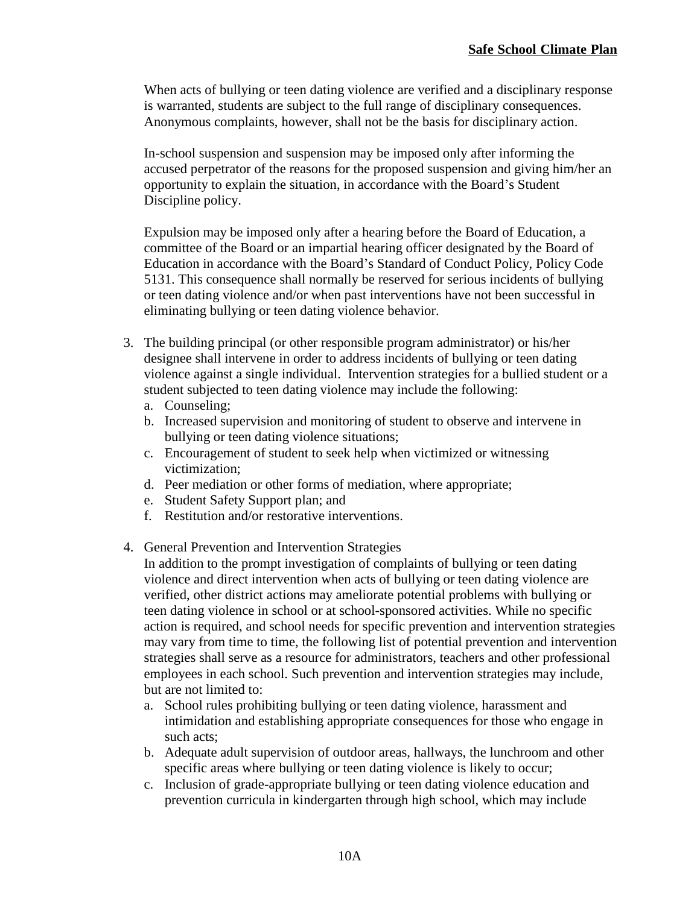When acts of bullying or teen dating violence are verified and a disciplinary response is warranted, students are subject to the full range of disciplinary consequences. Anonymous complaints, however, shall not be the basis for disciplinary action.

In-school suspension and suspension may be imposed only after informing the accused perpetrator of the reasons for the proposed suspension and giving him/her an opportunity to explain the situation, in accordance with the Board's Student Discipline policy.

Expulsion may be imposed only after a hearing before the Board of Education, a committee of the Board or an impartial hearing officer designated by the Board of Education in accordance with the Board's Standard of Conduct Policy, Policy Code 5131. This consequence shall normally be reserved for serious incidents of bullying or teen dating violence and/or when past interventions have not been successful in eliminating bullying or teen dating violence behavior.

- 3. The building principal (or other responsible program administrator) or his/her designee shall intervene in order to address incidents of bullying or teen dating violence against a single individual. Intervention strategies for a bullied student or a student subjected to teen dating violence may include the following:
	- a. Counseling;
	- b. Increased supervision and monitoring of student to observe and intervene in bullying or teen dating violence situations;
	- c. Encouragement of student to seek help when victimized or witnessing victimization;
	- d. Peer mediation or other forms of mediation, where appropriate;
	- e. Student Safety Support plan; and
	- f. Restitution and/or restorative interventions.
- 4. General Prevention and Intervention Strategies
	- In addition to the prompt investigation of complaints of bullying or teen dating violence and direct intervention when acts of bullying or teen dating violence are verified, other district actions may ameliorate potential problems with bullying or teen dating violence in school or at school-sponsored activities. While no specific action is required, and school needs for specific prevention and intervention strategies may vary from time to time, the following list of potential prevention and intervention strategies shall serve as a resource for administrators, teachers and other professional employees in each school. Such prevention and intervention strategies may include, but are not limited to:
		- a. School rules prohibiting bullying or teen dating violence, harassment and intimidation and establishing appropriate consequences for those who engage in such acts;
		- b. Adequate adult supervision of outdoor areas, hallways, the lunchroom and other specific areas where bullying or teen dating violence is likely to occur;
	- c. Inclusion of grade-appropriate bullying or teen dating violence education and prevention curricula in kindergarten through high school, which may include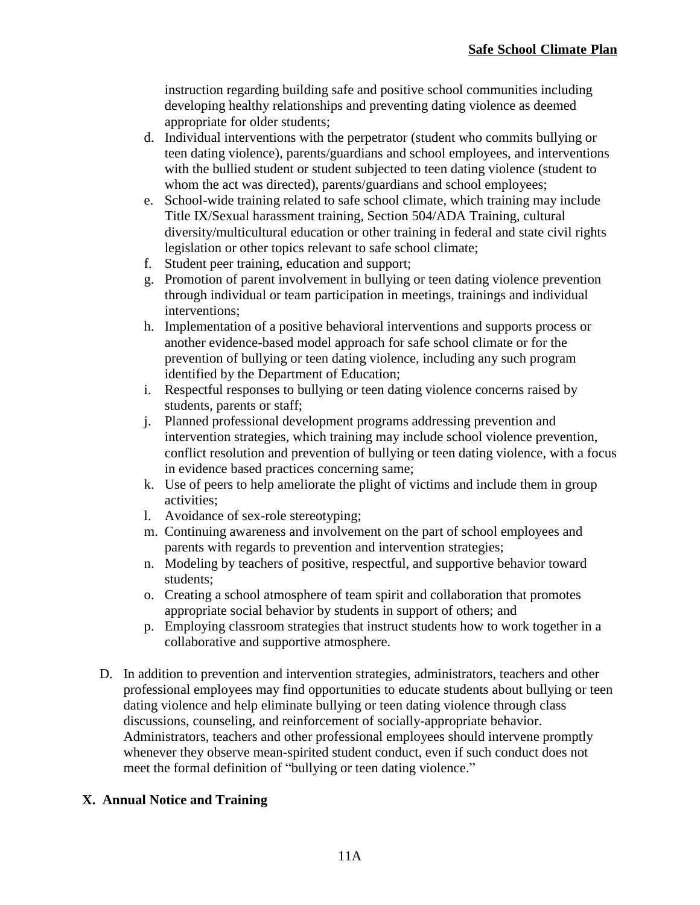instruction regarding building safe and positive school communities including developing healthy relationships and preventing dating violence as deemed appropriate for older students;

- d. Individual interventions with the perpetrator (student who commits bullying or teen dating violence), parents/guardians and school employees, and interventions with the bullied student or student subjected to teen dating violence (student to whom the act was directed), parents/guardians and school employees;
- e. School-wide training related to safe school climate, which training may include Title IX/Sexual harassment training, Section 504/ADA Training, cultural diversity/multicultural education or other training in federal and state civil rights legislation or other topics relevant to safe school climate;
- f. Student peer training, education and support;
- g. Promotion of parent involvement in bullying or teen dating violence prevention through individual or team participation in meetings, trainings and individual interventions;
- h. Implementation of a positive behavioral interventions and supports process or another evidence-based model approach for safe school climate or for the prevention of bullying or teen dating violence, including any such program identified by the Department of Education;
- i. Respectful responses to bullying or teen dating violence concerns raised by students, parents or staff;
- j. Planned professional development programs addressing prevention and intervention strategies, which training may include school violence prevention, conflict resolution and prevention of bullying or teen dating violence, with a focus in evidence based practices concerning same;
- k. Use of peers to help ameliorate the plight of victims and include them in group activities;
- l. Avoidance of sex-role stereotyping;
- m. Continuing awareness and involvement on the part of school employees and parents with regards to prevention and intervention strategies;
- n. Modeling by teachers of positive, respectful, and supportive behavior toward students;
- o. Creating a school atmosphere of team spirit and collaboration that promotes appropriate social behavior by students in support of others; and
- p. Employing classroom strategies that instruct students how to work together in a collaborative and supportive atmosphere.
- D. In addition to prevention and intervention strategies, administrators, teachers and other professional employees may find opportunities to educate students about bullying or teen dating violence and help eliminate bullying or teen dating violence through class discussions, counseling, and reinforcement of socially-appropriate behavior. Administrators, teachers and other professional employees should intervene promptly whenever they observe mean-spirited student conduct, even if such conduct does not meet the formal definition of "bullying or teen dating violence."

### **X. Annual Notice and Training**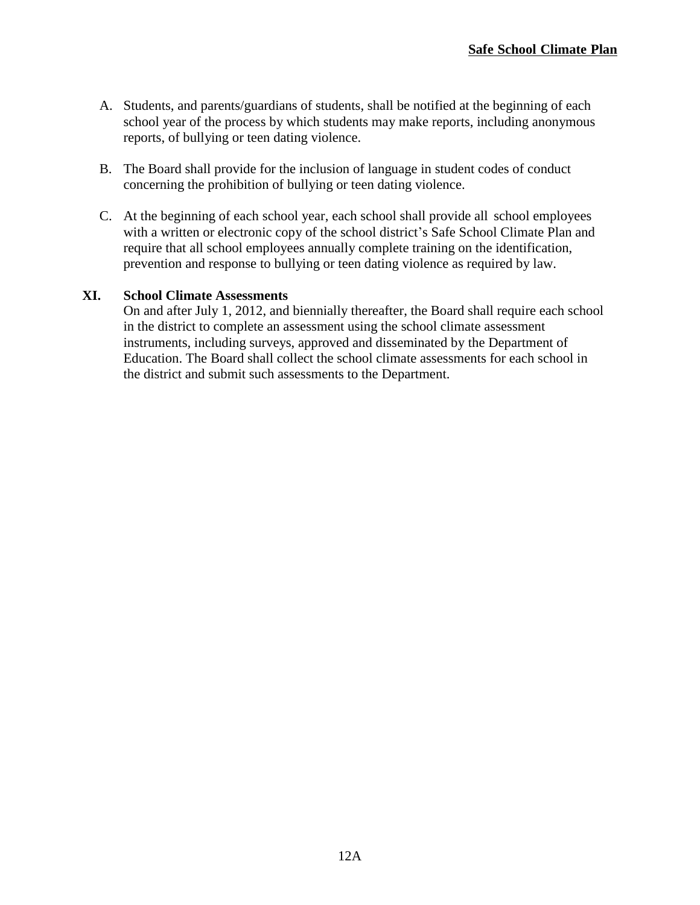- A. Students, and parents/guardians of students, shall be notified at the beginning of each school year of the process by which students may make reports, including anonymous reports, of bullying or teen dating violence.
- B. The Board shall provide for the inclusion of language in student codes of conduct concerning the prohibition of bullying or teen dating violence.
- C. At the beginning of each school year, each school shall provide all school employees with a written or electronic copy of the school district's Safe School Climate Plan and require that all school employees annually complete training on the identification, prevention and response to bullying or teen dating violence as required by law.

### **XI. School Climate Assessments**

On and after July 1, 2012, and biennially thereafter, the Board shall require each school in the district to complete an assessment using the school climate assessment instruments, including surveys, approved and disseminated by the Department of Education. The Board shall collect the school climate assessments for each school in the district and submit such assessments to the Department.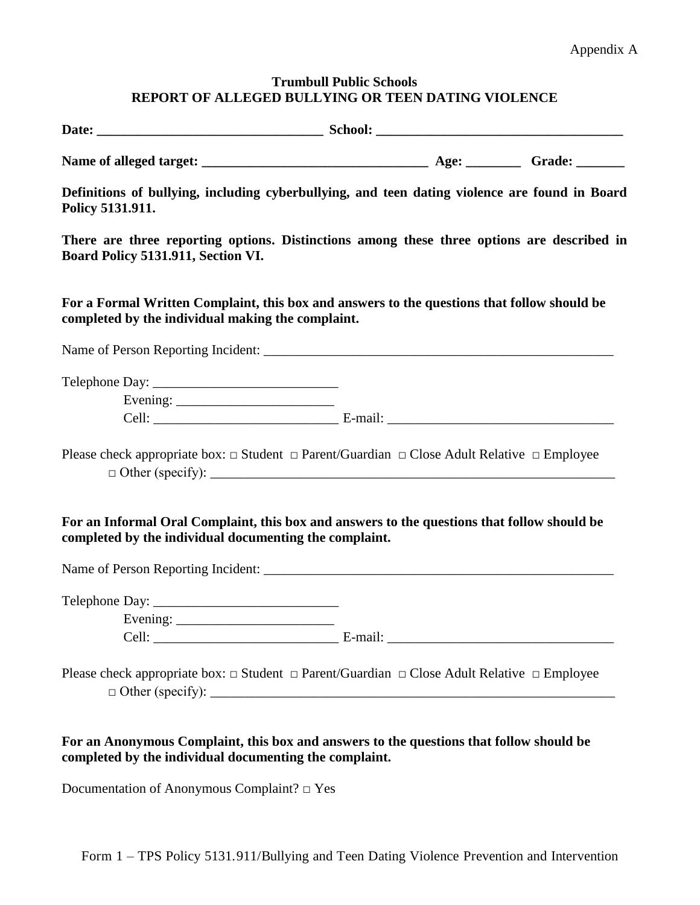### **Trumbull Public Schools REPORT OF ALLEGED BULLYING OR TEEN DATING VIOLENCE**

| Definitions of bullying, including cyberbullying, and teen dating violence are found in Board<br>Policy 5131.911.                                                                                              |  |  |
|----------------------------------------------------------------------------------------------------------------------------------------------------------------------------------------------------------------|--|--|
| There are three reporting options. Distinctions among these three options are described in<br>Board Policy 5131.911, Section VI.                                                                               |  |  |
| For a Formal Written Complaint, this box and answers to the questions that follow should be<br>completed by the individual making the complaint.                                                               |  |  |
|                                                                                                                                                                                                                |  |  |
| Evening: $\frac{1}{2}$                                                                                                                                                                                         |  |  |
|                                                                                                                                                                                                                |  |  |
| Please check appropriate box: $\Box$ Student $\Box$ Parent/Guardian $\Box$ Close Adult Relative $\Box$ Employee<br>For an Informal Oral Complaint, this box and answers to the questions that follow should be |  |  |
| completed by the individual documenting the complaint.                                                                                                                                                         |  |  |
|                                                                                                                                                                                                                |  |  |
| Evening: $\frac{1}{2}$                                                                                                                                                                                         |  |  |
|                                                                                                                                                                                                                |  |  |
| Please check appropriate box: $\Box$ Student $\Box$ Parent/Guardian $\Box$ Close Adult Relative $\Box$ Employee                                                                                                |  |  |
| For an Anonymous Complaint, this box and answers to the questions that follow should be<br>completed by the individual documenting the complaint.<br>Documentation of Anonymous Complaint? $\square$ Yes       |  |  |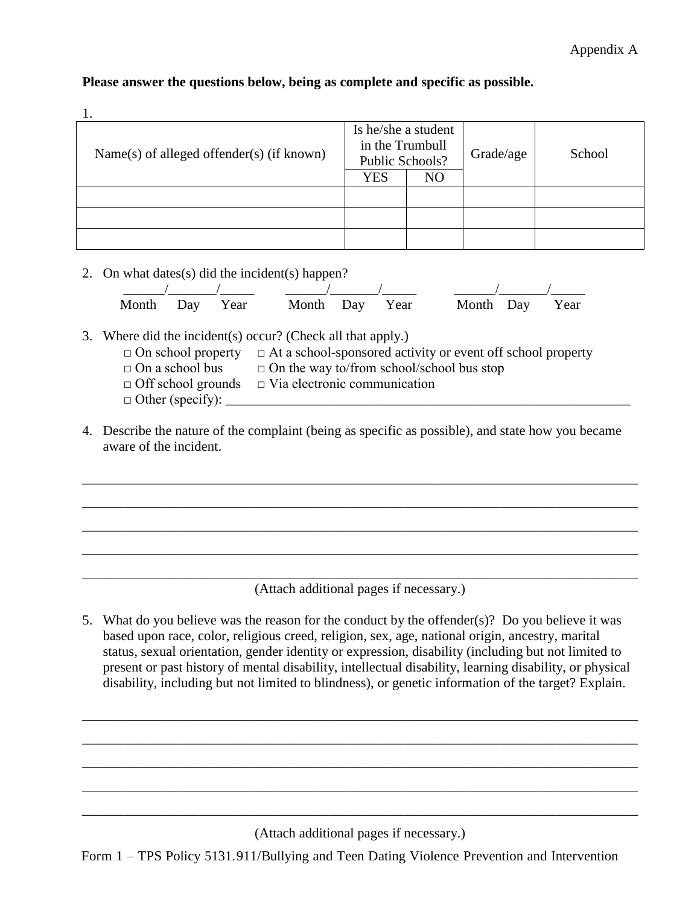|                                           | Is he/she a student |                 |           |        |
|-------------------------------------------|---------------------|-----------------|-----------|--------|
|                                           |                     | in the Trumbull |           | School |
| Name(s) of alleged offender(s) (if known) | Public Schools?     |                 | Grade/age |        |
|                                           | <b>YES</b>          | NO              |           |        |
|                                           |                     |                 |           |        |
|                                           |                     |                 |           |        |
|                                           |                     |                 |           |        |
|                                           |                     |                 |           |        |

## **Please answer the questions below, being as complete and specific as possible.**

2. On what dates(s) did the incident(s) happen?

|  |  | Month Day Year Month Day Year Month Day Year |
|--|--|----------------------------------------------|

3. Where did the incident(s) occur? (Check all that apply.)

- $\Box$  On school property  $\Box$  At a school-sponsored activity or event off school property
- $\Box$  On a school bus  $\Box$  On the way to/from school/school bus stop
- $\Box$  Off school grounds  $\Box$  Via electronic communication
- $\Box$  Other (specify):
- 4. Describe the nature of the complaint (being as specific as possible), and state how you became aware of the incident.

\_\_\_\_\_\_\_\_\_\_\_\_\_\_\_\_\_\_\_\_\_\_\_\_\_\_\_\_\_\_\_\_\_\_\_\_\_\_\_\_\_\_\_\_\_\_\_\_\_\_\_\_\_\_\_\_\_\_\_\_\_\_\_\_\_\_\_\_\_\_\_\_\_\_\_\_\_\_\_\_\_

\_\_\_\_\_\_\_\_\_\_\_\_\_\_\_\_\_\_\_\_\_\_\_\_\_\_\_\_\_\_\_\_\_\_\_\_\_\_\_\_\_\_\_\_\_\_\_\_\_\_\_\_\_\_\_\_\_\_\_\_\_\_\_\_\_\_\_\_\_\_\_\_\_\_\_\_\_\_\_\_\_

\_\_\_\_\_\_\_\_\_\_\_\_\_\_\_\_\_\_\_\_\_\_\_\_\_\_\_\_\_\_\_\_\_\_\_\_\_\_\_\_\_\_\_\_\_\_\_\_\_\_\_\_\_\_\_\_\_\_\_\_\_\_\_\_\_\_\_\_\_\_\_\_\_\_\_\_\_\_\_\_\_

\_\_\_\_\_\_\_\_\_\_\_\_\_\_\_\_\_\_\_\_\_\_\_\_\_\_\_\_\_\_\_\_\_\_\_\_\_\_\_\_\_\_\_\_\_\_\_\_\_\_\_\_\_\_\_\_\_\_\_\_\_\_\_\_\_\_\_\_\_\_\_\_\_\_\_\_\_\_\_\_\_

\_\_\_\_\_\_\_\_\_\_\_\_\_\_\_\_\_\_\_\_\_\_\_\_\_\_\_\_\_\_\_\_\_\_\_\_\_\_\_\_\_\_\_\_\_\_\_\_\_\_\_\_\_\_\_\_\_\_\_\_\_\_\_\_\_\_\_\_\_\_\_\_\_\_\_\_\_\_\_\_\_ (Attach additional pages if necessary.)

5. What do you believe was the reason for the conduct by the offender(s)? Do you believe it was based upon race, color, religious creed, religion, sex, age, national origin, ancestry, marital status, sexual orientation, gender identity or expression, disability (including but not limited to present or past history of mental disability, intellectual disability, learning disability, or physical disability, including but not limited to blindness), or genetic information of the target? Explain.

\_\_\_\_\_\_\_\_\_\_\_\_\_\_\_\_\_\_\_\_\_\_\_\_\_\_\_\_\_\_\_\_\_\_\_\_\_\_\_\_\_\_\_\_\_\_\_\_\_\_\_\_\_\_\_\_\_\_\_\_\_\_\_\_\_\_\_\_\_\_\_\_\_\_\_\_\_\_\_\_\_

\_\_\_\_\_\_\_\_\_\_\_\_\_\_\_\_\_\_\_\_\_\_\_\_\_\_\_\_\_\_\_\_\_\_\_\_\_\_\_\_\_\_\_\_\_\_\_\_\_\_\_\_\_\_\_\_\_\_\_\_\_\_\_\_\_\_\_\_\_\_\_\_\_\_\_\_\_\_\_\_\_

\_\_\_\_\_\_\_\_\_\_\_\_\_\_\_\_\_\_\_\_\_\_\_\_\_\_\_\_\_\_\_\_\_\_\_\_\_\_\_\_\_\_\_\_\_\_\_\_\_\_\_\_\_\_\_\_\_\_\_\_\_\_\_\_\_\_\_\_\_\_\_\_\_\_\_\_\_\_\_\_\_

\_\_\_\_\_\_\_\_\_\_\_\_\_\_\_\_\_\_\_\_\_\_\_\_\_\_\_\_\_\_\_\_\_\_\_\_\_\_\_\_\_\_\_\_\_\_\_\_\_\_\_\_\_\_\_\_\_\_\_\_\_\_\_\_\_\_\_\_\_\_\_\_\_\_\_\_\_\_\_\_\_

\_\_\_\_\_\_\_\_\_\_\_\_\_\_\_\_\_\_\_\_\_\_\_\_\_\_\_\_\_\_\_\_\_\_\_\_\_\_\_\_\_\_\_\_\_\_\_\_\_\_\_\_\_\_\_\_\_\_\_\_\_\_\_\_\_\_\_\_\_\_\_\_\_\_\_\_\_\_\_\_\_

(Attach additional pages if necessary.)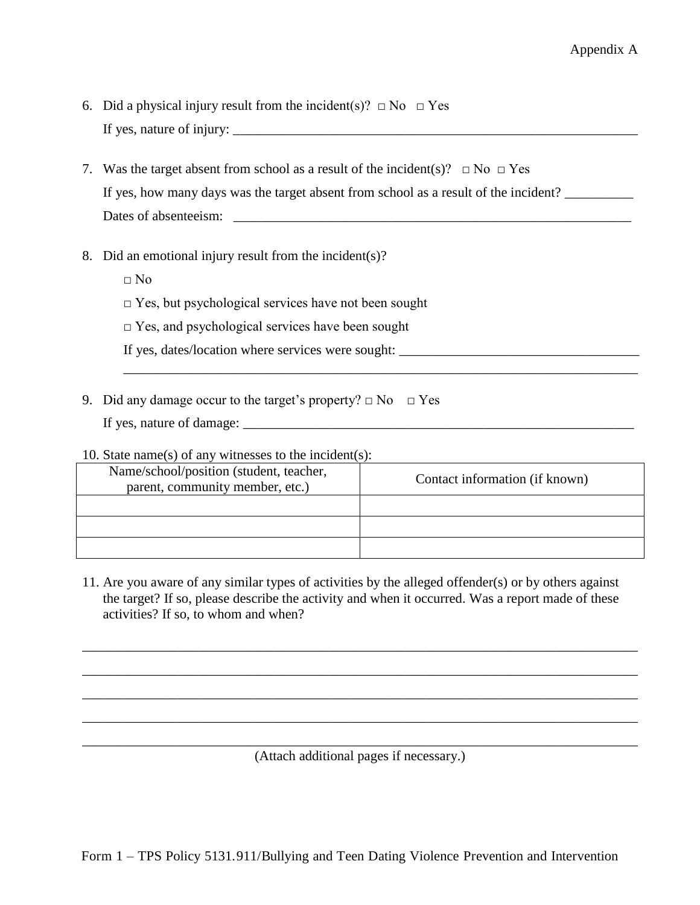- 6. Did a physical injury result from the incident(s)?  $\Box$  No  $\Box$  Yes If yes, nature of injury:  $\Box$
- 7. Was the target absent from school as a result of the incident(s)?  $\Box$  No  $\Box$  Yes If yes, how many days was the target absent from school as a result of the incident? Dates of absenteeism:
- 8. Did an emotional injury result from the incident(s)?
	- $\Box$  No
	- $\Box$  Yes, but psychological services have not been sought
	- $\square$  Yes, and psychological services have been sought

If yes, dates/location where services were sought: \_\_\_\_\_\_\_\_\_\_\_\_\_\_\_\_\_\_\_\_\_\_\_\_\_\_\_\_\_\_\_\_\_\_\_

9. Did any damage occur to the target's property?  $\Box$  No  $\Box$  Yes

If yes, nature of damage: \_\_\_\_\_\_\_\_\_\_\_\_\_\_\_\_\_\_\_\_\_\_\_\_\_\_\_\_\_\_\_\_\_\_\_\_\_\_\_\_\_\_\_\_\_\_\_\_\_\_\_\_\_\_\_\_\_

#### 10. State name(s) of any witnesses to the incident(s):

| Name/school/position (student, teacher,<br>parent, community member, etc.) | Contact information (if known) |
|----------------------------------------------------------------------------|--------------------------------|
|                                                                            |                                |
|                                                                            |                                |
|                                                                            |                                |

\_\_\_\_\_\_\_\_\_\_\_\_\_\_\_\_\_\_\_\_\_\_\_\_\_\_\_\_\_\_\_\_\_\_\_\_\_\_\_\_\_\_\_\_\_\_\_\_\_\_\_\_\_\_\_\_\_\_\_\_\_\_\_\_\_\_\_\_\_\_\_\_\_\_\_

11. Are you aware of any similar types of activities by the alleged offender(s) or by others against the target? If so, please describe the activity and when it occurred. Was a report made of these activities? If so, to whom and when?

\_\_\_\_\_\_\_\_\_\_\_\_\_\_\_\_\_\_\_\_\_\_\_\_\_\_\_\_\_\_\_\_\_\_\_\_\_\_\_\_\_\_\_\_\_\_\_\_\_\_\_\_\_\_\_\_\_\_\_\_\_\_\_\_\_\_\_\_\_\_\_\_\_\_\_\_\_\_\_\_\_

\_\_\_\_\_\_\_\_\_\_\_\_\_\_\_\_\_\_\_\_\_\_\_\_\_\_\_\_\_\_\_\_\_\_\_\_\_\_\_\_\_\_\_\_\_\_\_\_\_\_\_\_\_\_\_\_\_\_\_\_\_\_\_\_\_\_\_\_\_\_\_\_\_\_\_\_\_\_\_\_\_

\_\_\_\_\_\_\_\_\_\_\_\_\_\_\_\_\_\_\_\_\_\_\_\_\_\_\_\_\_\_\_\_\_\_\_\_\_\_\_\_\_\_\_\_\_\_\_\_\_\_\_\_\_\_\_\_\_\_\_\_\_\_\_\_\_\_\_\_\_\_\_\_\_\_\_\_\_\_\_\_\_

\_\_\_\_\_\_\_\_\_\_\_\_\_\_\_\_\_\_\_\_\_\_\_\_\_\_\_\_\_\_\_\_\_\_\_\_\_\_\_\_\_\_\_\_\_\_\_\_\_\_\_\_\_\_\_\_\_\_\_\_\_\_\_\_\_\_\_\_\_\_\_\_\_\_\_\_\_\_\_\_\_

\_\_\_\_\_\_\_\_\_\_\_\_\_\_\_\_\_\_\_\_\_\_\_\_\_\_\_\_\_\_\_\_\_\_\_\_\_\_\_\_\_\_\_\_\_\_\_\_\_\_\_\_\_\_\_\_\_\_\_\_\_\_\_\_\_\_\_\_\_\_\_\_\_\_\_\_\_\_\_\_\_ (Attach additional pages if necessary.)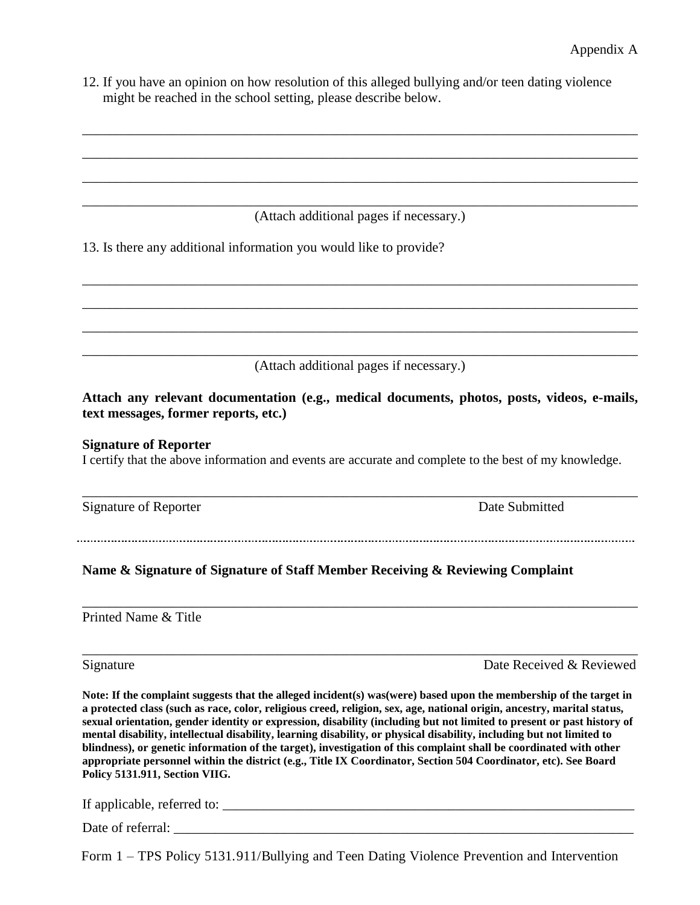12. If you have an opinion on how resolution of this alleged bullying and/or teen dating violence might be reached in the school setting, please describe below.

\_\_\_\_\_\_\_\_\_\_\_\_\_\_\_\_\_\_\_\_\_\_\_\_\_\_\_\_\_\_\_\_\_\_\_\_\_\_\_\_\_\_\_\_\_\_\_\_\_\_\_\_\_\_\_\_\_\_\_\_\_\_\_\_\_\_\_\_\_\_\_\_\_\_\_\_\_\_\_\_\_ (Attach additional pages if necessary.)

\_\_\_\_\_\_\_\_\_\_\_\_\_\_\_\_\_\_\_\_\_\_\_\_\_\_\_\_\_\_\_\_\_\_\_\_\_\_\_\_\_\_\_\_\_\_\_\_\_\_\_\_\_\_\_\_\_\_\_\_\_\_\_\_\_\_\_\_\_\_\_\_\_\_\_\_\_\_\_\_\_

\_\_\_\_\_\_\_\_\_\_\_\_\_\_\_\_\_\_\_\_\_\_\_\_\_\_\_\_\_\_\_\_\_\_\_\_\_\_\_\_\_\_\_\_\_\_\_\_\_\_\_\_\_\_\_\_\_\_\_\_\_\_\_\_\_\_\_\_\_\_\_\_\_\_\_\_\_\_\_\_\_

\_\_\_\_\_\_\_\_\_\_\_\_\_\_\_\_\_\_\_\_\_\_\_\_\_\_\_\_\_\_\_\_\_\_\_\_\_\_\_\_\_\_\_\_\_\_\_\_\_\_\_\_\_\_\_\_\_\_\_\_\_\_\_\_\_\_\_\_\_\_\_\_\_\_\_\_\_\_\_\_\_

\_\_\_\_\_\_\_\_\_\_\_\_\_\_\_\_\_\_\_\_\_\_\_\_\_\_\_\_\_\_\_\_\_\_\_\_\_\_\_\_\_\_\_\_\_\_\_\_\_\_\_\_\_\_\_\_\_\_\_\_\_\_\_\_\_\_\_\_\_\_\_\_\_\_\_\_\_\_\_\_\_

\_\_\_\_\_\_\_\_\_\_\_\_\_\_\_\_\_\_\_\_\_\_\_\_\_\_\_\_\_\_\_\_\_\_\_\_\_\_\_\_\_\_\_\_\_\_\_\_\_\_\_\_\_\_\_\_\_\_\_\_\_\_\_\_\_\_\_\_\_\_\_\_\_\_\_\_\_\_\_\_\_

\_\_\_\_\_\_\_\_\_\_\_\_\_\_\_\_\_\_\_\_\_\_\_\_\_\_\_\_\_\_\_\_\_\_\_\_\_\_\_\_\_\_\_\_\_\_\_\_\_\_\_\_\_\_\_\_\_\_\_\_\_\_\_\_\_\_\_\_\_\_\_\_\_\_\_\_\_\_\_\_\_

13. Is there any additional information you would like to provide?

\_\_\_\_\_\_\_\_\_\_\_\_\_\_\_\_\_\_\_\_\_\_\_\_\_\_\_\_\_\_\_\_\_\_\_\_\_\_\_\_\_\_\_\_\_\_\_\_\_\_\_\_\_\_\_\_\_\_\_\_\_\_\_\_\_\_\_\_\_\_\_\_\_\_\_\_\_\_\_\_\_ (Attach additional pages if necessary.)

**Attach any relevant documentation (e.g., medical documents, photos, posts, videos, e-mails, text messages, former reports, etc.)** 

#### **Signature of Reporter**

I certify that the above information and events are accurate and complete to the best of my knowledge.

| Signature of Reporter | Date Submitted |
|-----------------------|----------------|
|-----------------------|----------------|

\_\_\_\_\_\_\_\_\_\_\_\_\_\_\_\_\_\_\_\_\_\_\_\_\_\_\_\_\_\_\_\_\_\_\_\_\_\_\_\_\_\_\_\_\_\_\_\_\_\_\_\_\_\_\_\_\_\_\_\_\_\_\_\_\_\_\_\_\_\_\_\_\_\_\_\_\_\_\_\_\_

\_\_\_\_\_\_\_\_\_\_\_\_\_\_\_\_\_\_\_\_\_\_\_\_\_\_\_\_\_\_\_\_\_\_\_\_\_\_\_\_\_\_\_\_\_\_\_\_\_\_\_\_\_\_\_\_\_\_\_\_\_\_\_\_\_\_\_\_\_\_\_\_\_\_\_\_\_\_\_\_\_

\_\_\_\_\_\_\_\_\_\_\_\_\_\_\_\_\_\_\_\_\_\_\_\_\_\_\_\_\_\_\_\_\_\_\_\_\_\_\_\_\_\_\_\_\_\_\_\_\_\_\_\_\_\_\_\_\_\_\_\_\_\_\_\_\_\_\_\_\_\_\_\_\_\_\_\_\_\_\_\_\_

### **Name & Signature of Signature of Staff Member Receiving & Reviewing Complaint**

Printed Name & Title

Signature Date Received & Reviewed

**Note: If the complaint suggests that the alleged incident(s) was(were) based upon the membership of the target in a protected class (such as race, color, religious creed, religion, sex, age, national origin, ancestry, marital status, sexual orientation, gender identity or expression, disability (including but not limited to present or past history of mental disability, intellectual disability, learning disability, or physical disability, including but not limited to blindness), or genetic information of the target), investigation of this complaint shall be coordinated with other appropriate personnel within the district (e.g., Title IX Coordinator, Section 504 Coordinator, etc). See Board Policy 5131.911, Section VIIG.** 

If applicable, referred to: \_\_\_\_\_\_\_\_\_\_\_\_\_\_\_\_\_\_\_\_\_\_\_\_\_\_\_\_\_\_\_\_\_\_\_\_\_\_\_\_\_\_\_\_\_\_\_\_\_\_\_\_\_\_\_\_\_\_\_\_

Date of referral: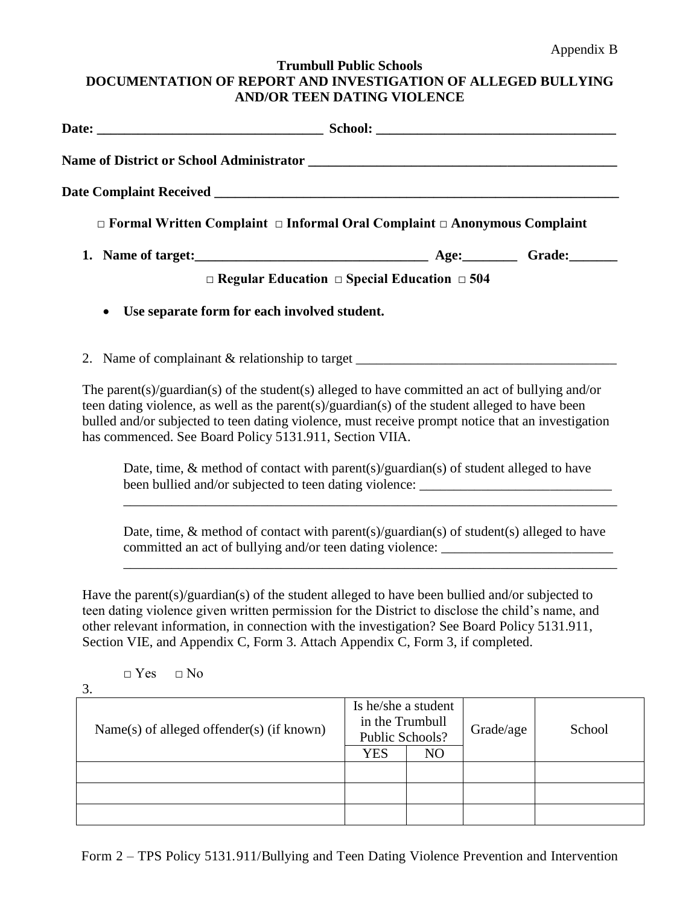### **Trumbull Public Schools DOCUMENTATION OF REPORT AND INVESTIGATION OF ALLEGED BULLYING AND/OR TEEN DATING VIOLENCE**

| $\Box$ Formal Written Complaint $\Box$ Informal Oral Complaint $\Box$ Anonymous Complaint                                                                                                                                                                                                                                                                                                                      |                                                                                                                                                                                  |                                                                         |                |           |        |
|----------------------------------------------------------------------------------------------------------------------------------------------------------------------------------------------------------------------------------------------------------------------------------------------------------------------------------------------------------------------------------------------------------------|----------------------------------------------------------------------------------------------------------------------------------------------------------------------------------|-------------------------------------------------------------------------|----------------|-----------|--------|
|                                                                                                                                                                                                                                                                                                                                                                                                                |                                                                                                                                                                                  |                                                                         |                |           |        |
|                                                                                                                                                                                                                                                                                                                                                                                                                | $\Box$ Regular Education $\Box$ Special Education $\Box$ 504                                                                                                                     |                                                                         |                |           |        |
| $\bullet$                                                                                                                                                                                                                                                                                                                                                                                                      | Use separate form for each involved student.                                                                                                                                     |                                                                         |                |           |        |
| 2. Name of complainant & relationship to target _________________________________                                                                                                                                                                                                                                                                                                                              |                                                                                                                                                                                  |                                                                         |                |           |        |
| The parent(s)/guardian(s) of the student(s) alleged to have committed an act of bullying and/or<br>teen dating violence, as well as the parent(s)/guardian(s) of the student alleged to have been<br>bulled and/or subjected to teen dating violence, must receive prompt notice that an investigation<br>has commenced. See Board Policy 5131.911, Section VIIA.                                              |                                                                                                                                                                                  |                                                                         |                |           |        |
|                                                                                                                                                                                                                                                                                                                                                                                                                | Date, time, $\&$ method of contact with parent(s)/guardian(s) of student alleged to have<br>been bullied and/or subjected to teen dating violence: __________________________    |                                                                         |                |           |        |
|                                                                                                                                                                                                                                                                                                                                                                                                                | Date, time, $\&$ method of contact with parent(s)/guardian(s) of student(s) alleged to have<br>committed an act of bullying and/or teen dating violence: _______________________ |                                                                         |                |           |        |
| Have the parent(s)/guardian(s) of the student alleged to have been bullied and/or subjected to<br>teen dating violence given written permission for the District to disclose the child's name, and<br>other relevant information, in connection with the investigation? See Board Policy 5131.911,<br>Section VIE, and Appendix C, Form 3. Attach Appendix C, Form 3, if completed.<br>$\Box$ No<br>$\Box$ Yes |                                                                                                                                                                                  |                                                                         |                |           |        |
| 3.<br>Name(s) of alleged offender(s) (if known)                                                                                                                                                                                                                                                                                                                                                                |                                                                                                                                                                                  | Is he/she a student<br>in the Trumbull<br>Public Schools?<br><b>YES</b> | N <sub>O</sub> | Grade/age | School |
|                                                                                                                                                                                                                                                                                                                                                                                                                |                                                                                                                                                                                  |                                                                         |                |           |        |
|                                                                                                                                                                                                                                                                                                                                                                                                                |                                                                                                                                                                                  |                                                                         |                |           |        |
|                                                                                                                                                                                                                                                                                                                                                                                                                |                                                                                                                                                                                  |                                                                         |                |           |        |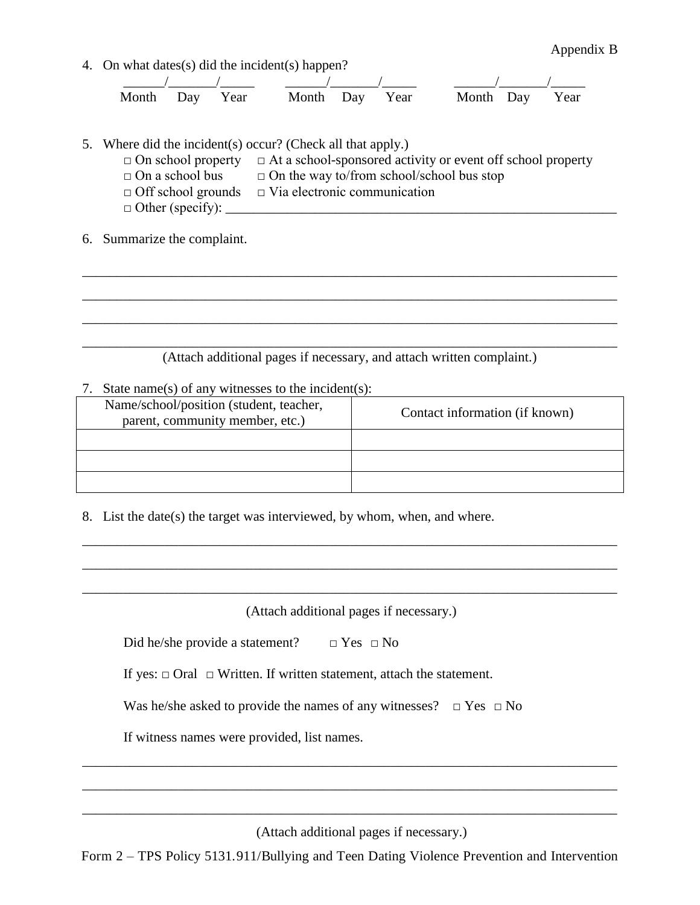4. On what dates(s) did the incident(s) happen?

|  |  |  | Month Day Year Month Day Year Month Day Year |  |
|--|--|--|----------------------------------------------|--|

- 5. Where did the incident(s) occur? (Check all that apply.) □ On school property □ At a school-sponsored activity or event off school property  $\Box$  On a school bus  $\Box$  On the way to/from school/school bus stop  $\Box$  Off school grounds  $\Box$  Via electronic communication  $\Box$  Other (specify):  $\_\_$
- 6. Summarize the complaint.

\_\_\_\_\_\_\_\_\_\_\_\_\_\_\_\_\_\_\_\_\_\_\_\_\_\_\_\_\_\_\_\_\_\_\_\_\_\_\_\_\_\_\_\_\_\_\_\_\_\_\_\_\_\_\_\_\_\_\_\_\_\_\_\_\_\_\_\_\_\_\_\_\_\_\_\_\_\_ (Attach additional pages if necessary, and attach written complaint.)

\_\_\_\_\_\_\_\_\_\_\_\_\_\_\_\_\_\_\_\_\_\_\_\_\_\_\_\_\_\_\_\_\_\_\_\_\_\_\_\_\_\_\_\_\_\_\_\_\_\_\_\_\_\_\_\_\_\_\_\_\_\_\_\_\_\_\_\_\_\_\_\_\_\_\_\_\_\_

\_\_\_\_\_\_\_\_\_\_\_\_\_\_\_\_\_\_\_\_\_\_\_\_\_\_\_\_\_\_\_\_\_\_\_\_\_\_\_\_\_\_\_\_\_\_\_\_\_\_\_\_\_\_\_\_\_\_\_\_\_\_\_\_\_\_\_\_\_\_\_\_\_\_\_\_\_\_

\_\_\_\_\_\_\_\_\_\_\_\_\_\_\_\_\_\_\_\_\_\_\_\_\_\_\_\_\_\_\_\_\_\_\_\_\_\_\_\_\_\_\_\_\_\_\_\_\_\_\_\_\_\_\_\_\_\_\_\_\_\_\_\_\_\_\_\_\_\_\_\_\_\_\_\_\_\_

7. State name(s) of any witnesses to the incident(s):

| Name/school/position (student, teacher,<br>parent, community member, etc.) | Contact information (if known) |
|----------------------------------------------------------------------------|--------------------------------|
|                                                                            |                                |
|                                                                            |                                |
|                                                                            |                                |

8. List the date(s) the target was interviewed, by whom, when, and where.

(Attach additional pages if necessary.)

\_\_\_\_\_\_\_\_\_\_\_\_\_\_\_\_\_\_\_\_\_\_\_\_\_\_\_\_\_\_\_\_\_\_\_\_\_\_\_\_\_\_\_\_\_\_\_\_\_\_\_\_\_\_\_\_\_\_\_\_\_\_\_\_\_\_\_\_\_\_\_\_\_\_\_\_\_\_

\_\_\_\_\_\_\_\_\_\_\_\_\_\_\_\_\_\_\_\_\_\_\_\_\_\_\_\_\_\_\_\_\_\_\_\_\_\_\_\_\_\_\_\_\_\_\_\_\_\_\_\_\_\_\_\_\_\_\_\_\_\_\_\_\_\_\_\_\_\_\_\_\_\_\_\_\_\_

\_\_\_\_\_\_\_\_\_\_\_\_\_\_\_\_\_\_\_\_\_\_\_\_\_\_\_\_\_\_\_\_\_\_\_\_\_\_\_\_\_\_\_\_\_\_\_\_\_\_\_\_\_\_\_\_\_\_\_\_\_\_\_\_\_\_\_\_\_\_\_\_\_\_\_\_\_\_

Did he/she provide a statement?  $\Box$  Yes  $\Box$  No

If yes:  $\Box$  Oral  $\Box$  Written. If written statement, attach the statement.

Was he/she asked to provide the names of any witnesses?  $\Box$  Yes  $\Box$  No

If witness names were provided, list names.

(Attach additional pages if necessary.)

Form 2 – TPS Policy 5131.911/Bullying and Teen Dating Violence Prevention and Intervention

\_\_\_\_\_\_\_\_\_\_\_\_\_\_\_\_\_\_\_\_\_\_\_\_\_\_\_\_\_\_\_\_\_\_\_\_\_\_\_\_\_\_\_\_\_\_\_\_\_\_\_\_\_\_\_\_\_\_\_\_\_\_\_\_\_\_\_\_\_\_\_\_\_\_\_\_\_\_

\_\_\_\_\_\_\_\_\_\_\_\_\_\_\_\_\_\_\_\_\_\_\_\_\_\_\_\_\_\_\_\_\_\_\_\_\_\_\_\_\_\_\_\_\_\_\_\_\_\_\_\_\_\_\_\_\_\_\_\_\_\_\_\_\_\_\_\_\_\_\_\_\_\_\_\_\_\_

\_\_\_\_\_\_\_\_\_\_\_\_\_\_\_\_\_\_\_\_\_\_\_\_\_\_\_\_\_\_\_\_\_\_\_\_\_\_\_\_\_\_\_\_\_\_\_\_\_\_\_\_\_\_\_\_\_\_\_\_\_\_\_\_\_\_\_\_\_\_\_\_\_\_\_\_\_\_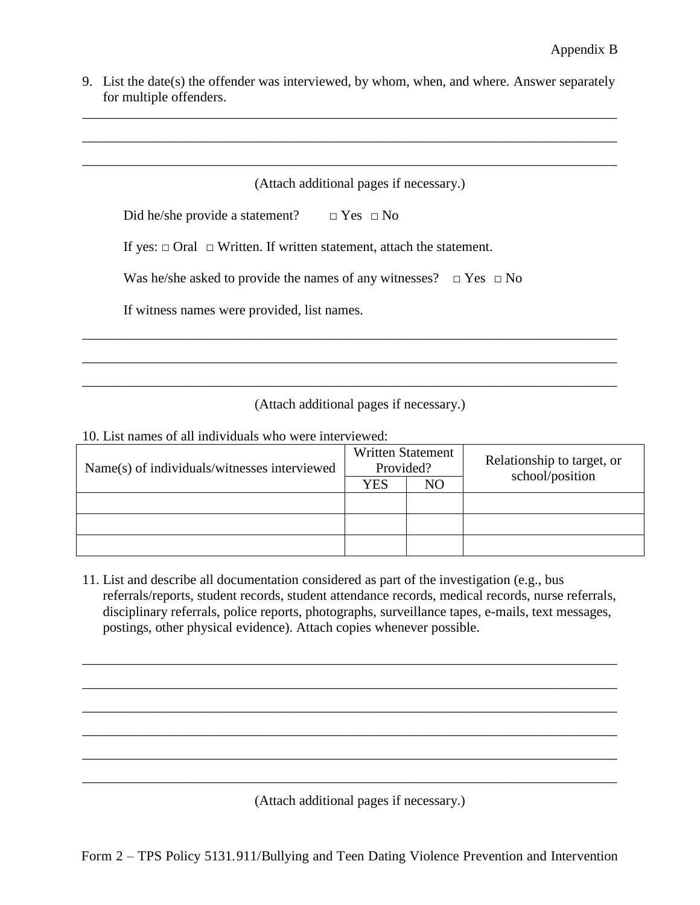9. List the date(s) the offender was interviewed, by whom, when, and where. Answer separately for multiple offenders.

\_\_\_\_\_\_\_\_\_\_\_\_\_\_\_\_\_\_\_\_\_\_\_\_\_\_\_\_\_\_\_\_\_\_\_\_\_\_\_\_\_\_\_\_\_\_\_\_\_\_\_\_\_\_\_\_\_\_\_\_\_\_\_\_\_\_\_\_\_\_\_\_\_\_\_\_\_\_

\_\_\_\_\_\_\_\_\_\_\_\_\_\_\_\_\_\_\_\_\_\_\_\_\_\_\_\_\_\_\_\_\_\_\_\_\_\_\_\_\_\_\_\_\_\_\_\_\_\_\_\_\_\_\_\_\_\_\_\_\_\_\_\_\_\_\_\_\_\_\_\_\_\_\_\_\_\_

\_\_\_\_\_\_\_\_\_\_\_\_\_\_\_\_\_\_\_\_\_\_\_\_\_\_\_\_\_\_\_\_\_\_\_\_\_\_\_\_\_\_\_\_\_\_\_\_\_\_\_\_\_\_\_\_\_\_\_\_\_\_\_\_\_\_\_\_\_\_\_\_\_\_\_\_\_\_

|  |  |  |  | (Attach additional pages if necessary.) |
|--|--|--|--|-----------------------------------------|
|--|--|--|--|-----------------------------------------|

| Did he/she provide a statement? |  |  | $\Box$ Yes $\Box$ No |
|---------------------------------|--|--|----------------------|
|                                 |  |  |                      |

If yes:  $\Box$  Oral  $\Box$  Written. If written statement, attach the statement.

|  | Was he/she asked to provide the names of any witnesses? $\Box$ Yes $\Box$ No |  |  |  |
|--|------------------------------------------------------------------------------|--|--|--|
|--|------------------------------------------------------------------------------|--|--|--|

If witness names were provided, list names.

(Attach additional pages if necessary.)

\_\_\_\_\_\_\_\_\_\_\_\_\_\_\_\_\_\_\_\_\_\_\_\_\_\_\_\_\_\_\_\_\_\_\_\_\_\_\_\_\_\_\_\_\_\_\_\_\_\_\_\_\_\_\_\_\_\_\_\_\_\_\_\_\_\_\_\_\_\_\_\_\_\_\_\_\_\_

\_\_\_\_\_\_\_\_\_\_\_\_\_\_\_\_\_\_\_\_\_\_\_\_\_\_\_\_\_\_\_\_\_\_\_\_\_\_\_\_\_\_\_\_\_\_\_\_\_\_\_\_\_\_\_\_\_\_\_\_\_\_\_\_\_\_\_\_\_\_\_\_\_\_\_\_\_\_

\_\_\_\_\_\_\_\_\_\_\_\_\_\_\_\_\_\_\_\_\_\_\_\_\_\_\_\_\_\_\_\_\_\_\_\_\_\_\_\_\_\_\_\_\_\_\_\_\_\_\_\_\_\_\_\_\_\_\_\_\_\_\_\_\_\_\_\_\_\_\_\_\_\_\_\_\_\_

10. List names of all individuals who were interviewed:

| Name(s) of individuals/witnesses interviewed | <b>Written Statement</b><br>Provided? |    | Relationship to target, or<br>school/position |
|----------------------------------------------|---------------------------------------|----|-----------------------------------------------|
|                                              | <b>YES</b>                            | NO |                                               |
|                                              |                                       |    |                                               |
|                                              |                                       |    |                                               |
|                                              |                                       |    |                                               |

11. List and describe all documentation considered as part of the investigation (e.g., bus referrals/reports, student records, student attendance records, medical records, nurse referrals, disciplinary referrals, police reports, photographs, surveillance tapes, e-mails, text messages, postings, other physical evidence). Attach copies whenever possible.

\_\_\_\_\_\_\_\_\_\_\_\_\_\_\_\_\_\_\_\_\_\_\_\_\_\_\_\_\_\_\_\_\_\_\_\_\_\_\_\_\_\_\_\_\_\_\_\_\_\_\_\_\_\_\_\_\_\_\_\_\_\_\_\_\_\_\_\_\_\_\_\_\_\_\_\_\_\_

\_\_\_\_\_\_\_\_\_\_\_\_\_\_\_\_\_\_\_\_\_\_\_\_\_\_\_\_\_\_\_\_\_\_\_\_\_\_\_\_\_\_\_\_\_\_\_\_\_\_\_\_\_\_\_\_\_\_\_\_\_\_\_\_\_\_\_\_\_\_\_\_\_\_\_\_\_\_

\_\_\_\_\_\_\_\_\_\_\_\_\_\_\_\_\_\_\_\_\_\_\_\_\_\_\_\_\_\_\_\_\_\_\_\_\_\_\_\_\_\_\_\_\_\_\_\_\_\_\_\_\_\_\_\_\_\_\_\_\_\_\_\_\_\_\_\_\_\_\_\_\_\_\_\_\_\_

\_\_\_\_\_\_\_\_\_\_\_\_\_\_\_\_\_\_\_\_\_\_\_\_\_\_\_\_\_\_\_\_\_\_\_\_\_\_\_\_\_\_\_\_\_\_\_\_\_\_\_\_\_\_\_\_\_\_\_\_\_\_\_\_\_\_\_\_\_\_\_\_\_\_\_\_\_\_

\_\_\_\_\_\_\_\_\_\_\_\_\_\_\_\_\_\_\_\_\_\_\_\_\_\_\_\_\_\_\_\_\_\_\_\_\_\_\_\_\_\_\_\_\_\_\_\_\_\_\_\_\_\_\_\_\_\_\_\_\_\_\_\_\_\_\_\_\_\_\_\_\_\_\_\_\_\_

\_\_\_\_\_\_\_\_\_\_\_\_\_\_\_\_\_\_\_\_\_\_\_\_\_\_\_\_\_\_\_\_\_\_\_\_\_\_\_\_\_\_\_\_\_\_\_\_\_\_\_\_\_\_\_\_\_\_\_\_\_\_\_\_\_\_\_\_\_\_\_\_\_\_\_\_\_\_

(Attach additional pages if necessary.)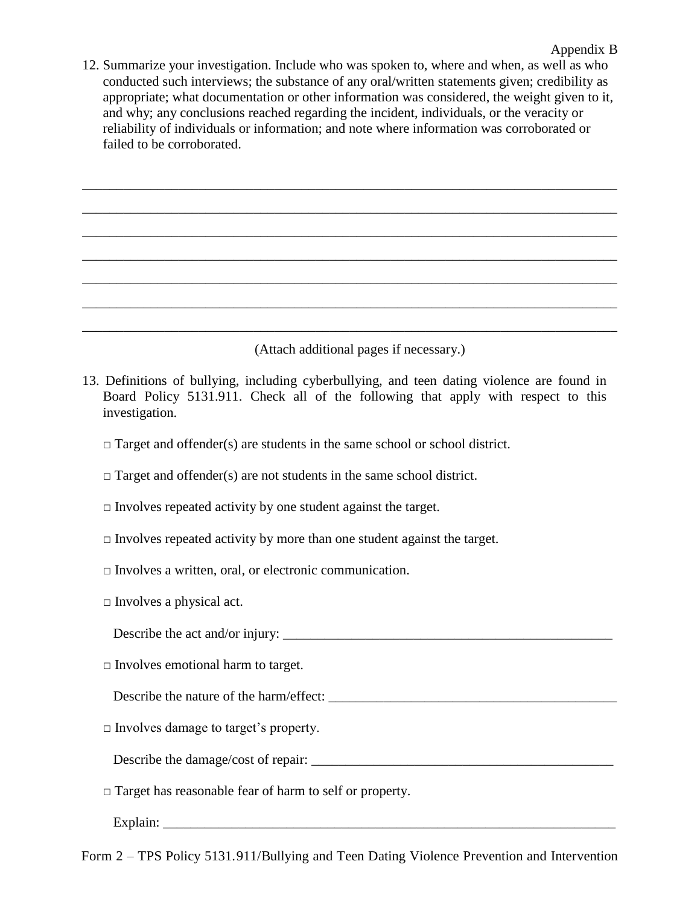12. Summarize your investigation. Include who was spoken to, where and when, as well as who conducted such interviews; the substance of any oral/written statements given; credibility as appropriate; what documentation or other information was considered, the weight given to it, and why; any conclusions reached regarding the incident, individuals, or the veracity or reliability of individuals or information; and note where information was corroborated or failed to be corroborated.

\_\_\_\_\_\_\_\_\_\_\_\_\_\_\_\_\_\_\_\_\_\_\_\_\_\_\_\_\_\_\_\_\_\_\_\_\_\_\_\_\_\_\_\_\_\_\_\_\_\_\_\_\_\_\_\_\_\_\_\_\_\_\_\_\_\_\_\_\_\_\_\_\_\_\_\_\_\_

\_\_\_\_\_\_\_\_\_\_\_\_\_\_\_\_\_\_\_\_\_\_\_\_\_\_\_\_\_\_\_\_\_\_\_\_\_\_\_\_\_\_\_\_\_\_\_\_\_\_\_\_\_\_\_\_\_\_\_\_\_\_\_\_\_\_\_\_\_\_\_\_\_\_\_\_\_\_

\_\_\_\_\_\_\_\_\_\_\_\_\_\_\_\_\_\_\_\_\_\_\_\_\_\_\_\_\_\_\_\_\_\_\_\_\_\_\_\_\_\_\_\_\_\_\_\_\_\_\_\_\_\_\_\_\_\_\_\_\_\_\_\_\_\_\_\_\_\_\_\_\_\_\_\_\_\_

\_\_\_\_\_\_\_\_\_\_\_\_\_\_\_\_\_\_\_\_\_\_\_\_\_\_\_\_\_\_\_\_\_\_\_\_\_\_\_\_\_\_\_\_\_\_\_\_\_\_\_\_\_\_\_\_\_\_\_\_\_\_\_\_\_\_\_\_\_\_\_\_\_\_\_\_\_\_

\_\_\_\_\_\_\_\_\_\_\_\_\_\_\_\_\_\_\_\_\_\_\_\_\_\_\_\_\_\_\_\_\_\_\_\_\_\_\_\_\_\_\_\_\_\_\_\_\_\_\_\_\_\_\_\_\_\_\_\_\_\_\_\_\_\_\_\_\_\_\_\_\_\_\_\_\_\_

\_\_\_\_\_\_\_\_\_\_\_\_\_\_\_\_\_\_\_\_\_\_\_\_\_\_\_\_\_\_\_\_\_\_\_\_\_\_\_\_\_\_\_\_\_\_\_\_\_\_\_\_\_\_\_\_\_\_\_\_\_\_\_\_\_\_\_\_\_\_\_\_\_\_\_\_\_\_

\_\_\_\_\_\_\_\_\_\_\_\_\_\_\_\_\_\_\_\_\_\_\_\_\_\_\_\_\_\_\_\_\_\_\_\_\_\_\_\_\_\_\_\_\_\_\_\_\_\_\_\_\_\_\_\_\_\_\_\_\_\_\_\_\_\_\_\_\_\_\_\_\_\_\_\_\_\_

(Attach additional pages if necessary.)

- 13. Definitions of bullying, including cyberbullying, and teen dating violence are found in Board Policy 5131.911. Check all of the following that apply with respect to this investigation.
	- $\Box$  Target and offender(s) are students in the same school or school district.
	- $\Box$  Target and offender(s) are not students in the same school district.
	- $\Box$  Involves repeated activity by one student against the target.
	- $\Box$  Involves repeated activity by more than one student against the target.
	- $\Box$  Involves a written, oral, or electronic communication.
	- $\square$  Involves a physical act.

| Describe the act and/or injury: |  |
|---------------------------------|--|
|                                 |  |

 $\square$  Involves emotional harm to target.

Describe the nature of the harm/effect: \_\_\_\_\_\_\_\_\_\_\_\_\_\_\_\_\_\_\_\_\_\_\_\_\_\_\_\_\_\_\_\_\_\_\_\_\_\_\_\_\_\_

□ Involves damage to target's property.

Describe the damage/cost of repair: \_\_\_\_\_\_\_\_\_\_\_\_\_\_\_\_\_\_\_\_\_\_\_\_\_\_\_\_\_\_\_\_\_\_\_\_\_\_\_\_\_\_\_\_

□ Target has reasonable fear of harm to self or property.

Explain: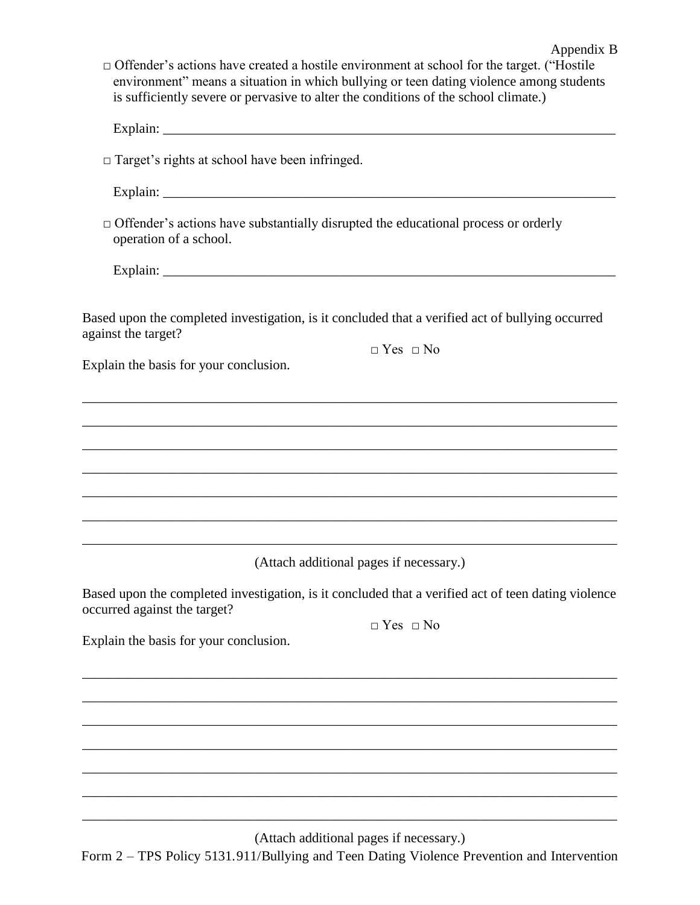| $\Box$ Offender's actions have created a hostile environment at school for the target. ("Hostile"<br>environment" means a situation in which bullying or teen dating violence among students<br>is sufficiently severe or pervasive to alter the conditions of the school climate.) |
|-------------------------------------------------------------------------------------------------------------------------------------------------------------------------------------------------------------------------------------------------------------------------------------|
|                                                                                                                                                                                                                                                                                     |
| $\Box$ Target's rights at school have been infringed.                                                                                                                                                                                                                               |
|                                                                                                                                                                                                                                                                                     |
| $\Box$ Offender's actions have substantially disrupted the educational process or orderly<br>operation of a school.                                                                                                                                                                 |
|                                                                                                                                                                                                                                                                                     |
| Based upon the completed investigation, is it concluded that a verified act of bullying occurred<br>against the target?<br>$\Box$ Yes $\Box$ No<br>Explain the basis for your conclusion.                                                                                           |
|                                                                                                                                                                                                                                                                                     |
|                                                                                                                                                                                                                                                                                     |
|                                                                                                                                                                                                                                                                                     |
| ,我们也不能在这里的时候,我们也不能在这里的时候,我们也不能会在这里的时候,我们也不能会在这里的时候,我们也不能会在这里的时候,我们也不能会在这里的时候,我们也不                                                                                                                                                                                                   |
|                                                                                                                                                                                                                                                                                     |
| (Attach additional pages if necessary.)                                                                                                                                                                                                                                             |
| Based upon the completed investigation, is it concluded that a verified act of teen dating violence<br>occurred against the target?<br>$\Box$ Yes $\Box$ No                                                                                                                         |
| Explain the basis for your conclusion.                                                                                                                                                                                                                                              |
|                                                                                                                                                                                                                                                                                     |
|                                                                                                                                                                                                                                                                                     |
|                                                                                                                                                                                                                                                                                     |
|                                                                                                                                                                                                                                                                                     |
|                                                                                                                                                                                                                                                                                     |
|                                                                                                                                                                                                                                                                                     |

Appendix B

(Attach additional pages if necessary.)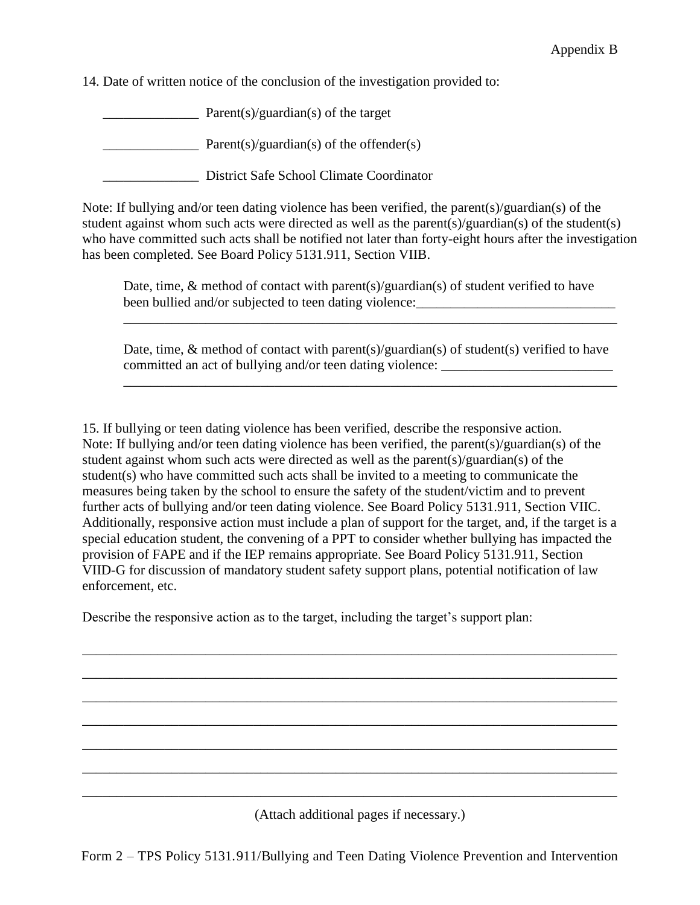14. Date of written notice of the conclusion of the investigation provided to:

 $\frac{1}{\sqrt{2\pi}}$  Parent(s)/guardian(s) of the target

 $\text{Parent}(s)/\text{guardian}(s)$  of the offender(s)

\_\_\_\_\_\_\_\_\_\_\_\_\_\_ District Safe School Climate Coordinator

Note: If bullying and/or teen dating violence has been verified, the parent(s)/guardian(s) of the student against whom such acts were directed as well as the parent(s)/guardian(s) of the student(s) who have committed such acts shall be notified not later than forty-eight hours after the investigation has been completed. See Board Policy 5131.911, Section VIIB.

Date, time, & method of contact with parent(s)/guardian(s) of student verified to have been bullied and/or subjected to teen dating violence:

\_\_\_\_\_\_\_\_\_\_\_\_\_\_\_\_\_\_\_\_\_\_\_\_\_\_\_\_\_\_\_\_\_\_\_\_\_\_\_\_\_\_\_\_\_\_\_\_\_\_\_\_\_\_\_\_\_\_\_\_\_\_\_\_\_\_\_\_\_\_\_\_

Date, time,  $\&$  method of contact with parent(s)/guardian(s) of student(s) verified to have committed an act of bullying and/or teen dating violence:

\_\_\_\_\_\_\_\_\_\_\_\_\_\_\_\_\_\_\_\_\_\_\_\_\_\_\_\_\_\_\_\_\_\_\_\_\_\_\_\_\_\_\_\_\_\_\_\_\_\_\_\_\_\_\_\_\_\_\_\_\_\_\_\_\_\_\_\_\_\_\_\_

15. If bullying or teen dating violence has been verified, describe the responsive action. Note: If bullying and/or teen dating violence has been verified, the parent(s)/guardian(s) of the student against whom such acts were directed as well as the parent(s)/guardian(s) of the student(s) who have committed such acts shall be invited to a meeting to communicate the measures being taken by the school to ensure the safety of the student/victim and to prevent further acts of bullying and/or teen dating violence. See Board Policy 5131.911, Section VIIC. Additionally, responsive action must include a plan of support for the target, and, if the target is a special education student, the convening of a PPT to consider whether bullying has impacted the provision of FAPE and if the IEP remains appropriate. See Board Policy 5131.911, Section VIID-G for discussion of mandatory student safety support plans, potential notification of law enforcement, etc.

\_\_\_\_\_\_\_\_\_\_\_\_\_\_\_\_\_\_\_\_\_\_\_\_\_\_\_\_\_\_\_\_\_\_\_\_\_\_\_\_\_\_\_\_\_\_\_\_\_\_\_\_\_\_\_\_\_\_\_\_\_\_\_\_\_\_\_\_\_\_\_\_\_\_\_\_\_\_

\_\_\_\_\_\_\_\_\_\_\_\_\_\_\_\_\_\_\_\_\_\_\_\_\_\_\_\_\_\_\_\_\_\_\_\_\_\_\_\_\_\_\_\_\_\_\_\_\_\_\_\_\_\_\_\_\_\_\_\_\_\_\_\_\_\_\_\_\_\_\_\_\_\_\_\_\_\_

\_\_\_\_\_\_\_\_\_\_\_\_\_\_\_\_\_\_\_\_\_\_\_\_\_\_\_\_\_\_\_\_\_\_\_\_\_\_\_\_\_\_\_\_\_\_\_\_\_\_\_\_\_\_\_\_\_\_\_\_\_\_\_\_\_\_\_\_\_\_\_\_\_\_\_\_\_\_

\_\_\_\_\_\_\_\_\_\_\_\_\_\_\_\_\_\_\_\_\_\_\_\_\_\_\_\_\_\_\_\_\_\_\_\_\_\_\_\_\_\_\_\_\_\_\_\_\_\_\_\_\_\_\_\_\_\_\_\_\_\_\_\_\_\_\_\_\_\_\_\_\_\_\_\_\_\_

\_\_\_\_\_\_\_\_\_\_\_\_\_\_\_\_\_\_\_\_\_\_\_\_\_\_\_\_\_\_\_\_\_\_\_\_\_\_\_\_\_\_\_\_\_\_\_\_\_\_\_\_\_\_\_\_\_\_\_\_\_\_\_\_\_\_\_\_\_\_\_\_\_\_\_\_\_\_

\_\_\_\_\_\_\_\_\_\_\_\_\_\_\_\_\_\_\_\_\_\_\_\_\_\_\_\_\_\_\_\_\_\_\_\_\_\_\_\_\_\_\_\_\_\_\_\_\_\_\_\_\_\_\_\_\_\_\_\_\_\_\_\_\_\_\_\_\_\_\_\_\_\_\_\_\_\_

\_\_\_\_\_\_\_\_\_\_\_\_\_\_\_\_\_\_\_\_\_\_\_\_\_\_\_\_\_\_\_\_\_\_\_\_\_\_\_\_\_\_\_\_\_\_\_\_\_\_\_\_\_\_\_\_\_\_\_\_\_\_\_\_\_\_\_\_\_\_\_\_\_\_\_\_\_\_

Describe the responsive action as to the target, including the target's support plan:

(Attach additional pages if necessary.)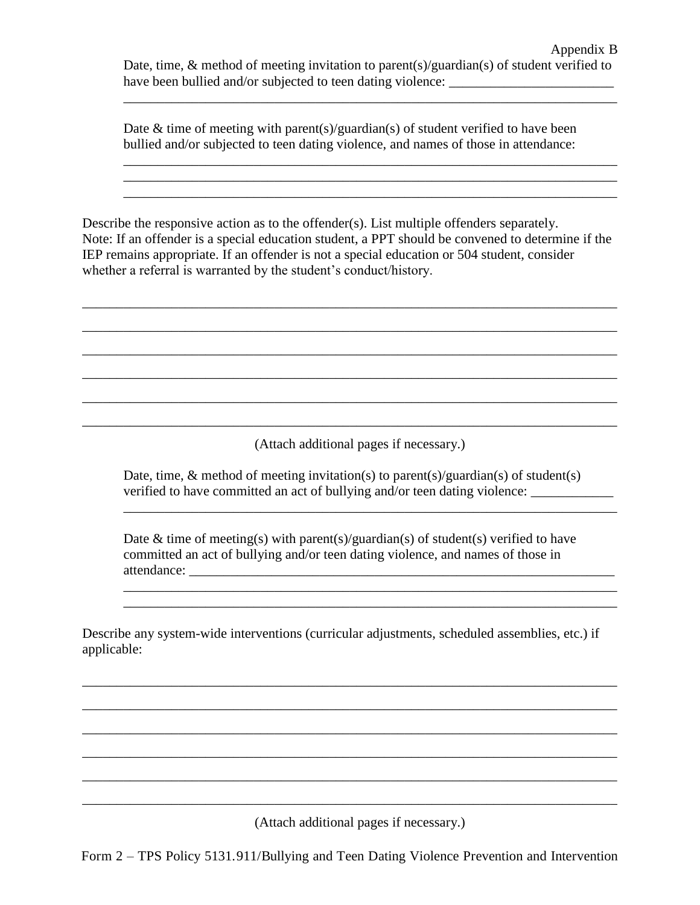\_\_\_\_\_\_\_\_\_\_\_\_\_\_\_\_\_\_\_\_\_\_\_\_\_\_\_\_\_\_\_\_\_\_\_\_\_\_\_\_\_\_\_\_\_\_\_\_\_\_\_\_\_\_\_\_\_\_\_\_\_\_\_\_\_\_\_\_\_\_\_\_

\_\_\_\_\_\_\_\_\_\_\_\_\_\_\_\_\_\_\_\_\_\_\_\_\_\_\_\_\_\_\_\_\_\_\_\_\_\_\_\_\_\_\_\_\_\_\_\_\_\_\_\_\_\_\_\_\_\_\_\_\_\_\_\_\_\_\_\_\_\_\_\_ \_\_\_\_\_\_\_\_\_\_\_\_\_\_\_\_\_\_\_\_\_\_\_\_\_\_\_\_\_\_\_\_\_\_\_\_\_\_\_\_\_\_\_\_\_\_\_\_\_\_\_\_\_\_\_\_\_\_\_\_\_\_\_\_\_\_\_\_\_\_\_\_

Date  $\&$  time of meeting with parent(s)/guardian(s) of student verified to have been bullied and/or subjected to teen dating violence, and names of those in attendance:

Describe the responsive action as to the offender(s). List multiple offenders separately. Note: If an offender is a special education student, a PPT should be convened to determine if the IEP remains appropriate. If an offender is not a special education or 504 student, consider whether a referral is warranted by the student's conduct/history.

\_\_\_\_\_\_\_\_\_\_\_\_\_\_\_\_\_\_\_\_\_\_\_\_\_\_\_\_\_\_\_\_\_\_\_\_\_\_\_\_\_\_\_\_\_\_\_\_\_\_\_\_\_\_\_\_\_\_\_\_\_\_\_\_\_\_\_\_\_\_\_\_\_\_\_\_\_\_

\_\_\_\_\_\_\_\_\_\_\_\_\_\_\_\_\_\_\_\_\_\_\_\_\_\_\_\_\_\_\_\_\_\_\_\_\_\_\_\_\_\_\_\_\_\_\_\_\_\_\_\_\_\_\_\_\_\_\_\_\_\_\_\_\_\_\_\_\_\_\_\_\_\_\_\_\_\_

\_\_\_\_\_\_\_\_\_\_\_\_\_\_\_\_\_\_\_\_\_\_\_\_\_\_\_\_\_\_\_\_\_\_\_\_\_\_\_\_\_\_\_\_\_\_\_\_\_\_\_\_\_\_\_\_\_\_\_\_\_\_\_\_\_\_\_\_\_\_\_\_\_\_\_\_\_\_

\_\_\_\_\_\_\_\_\_\_\_\_\_\_\_\_\_\_\_\_\_\_\_\_\_\_\_\_\_\_\_\_\_\_\_\_\_\_\_\_\_\_\_\_\_\_\_\_\_\_\_\_\_\_\_\_\_\_\_\_\_\_\_\_\_\_\_\_\_\_\_\_\_\_\_\_\_\_

\_\_\_\_\_\_\_\_\_\_\_\_\_\_\_\_\_\_\_\_\_\_\_\_\_\_\_\_\_\_\_\_\_\_\_\_\_\_\_\_\_\_\_\_\_\_\_\_\_\_\_\_\_\_\_\_\_\_\_\_\_\_\_\_\_\_\_\_\_\_\_\_\_\_\_\_\_\_

\_\_\_\_\_\_\_\_\_\_\_\_\_\_\_\_\_\_\_\_\_\_\_\_\_\_\_\_\_\_\_\_\_\_\_\_\_\_\_\_\_\_\_\_\_\_\_\_\_\_\_\_\_\_\_\_\_\_\_\_\_\_\_\_\_\_\_\_\_\_\_\_\_\_\_\_\_\_

(Attach additional pages if necessary.)

\_\_\_\_\_\_\_\_\_\_\_\_\_\_\_\_\_\_\_\_\_\_\_\_\_\_\_\_\_\_\_\_\_\_\_\_\_\_\_\_\_\_\_\_\_\_\_\_\_\_\_\_\_\_\_\_\_\_\_\_\_\_\_\_\_\_\_\_\_\_\_\_

\_\_\_\_\_\_\_\_\_\_\_\_\_\_\_\_\_\_\_\_\_\_\_\_\_\_\_\_\_\_\_\_\_\_\_\_\_\_\_\_\_\_\_\_\_\_\_\_\_\_\_\_\_\_\_\_\_\_\_\_\_\_\_\_\_\_\_\_\_\_\_\_ \_\_\_\_\_\_\_\_\_\_\_\_\_\_\_\_\_\_\_\_\_\_\_\_\_\_\_\_\_\_\_\_\_\_\_\_\_\_\_\_\_\_\_\_\_\_\_\_\_\_\_\_\_\_\_\_\_\_\_\_\_\_\_\_\_\_\_\_\_\_\_\_

Date, time,  $\&$  method of meeting invitation(s) to parent(s)/guardian(s) of student(s) verified to have committed an act of bullying and/or teen dating violence:

Date  $\&$  time of meeting(s) with parent(s)/guardian(s) of student(s) verified to have committed an act of bullying and/or teen dating violence, and names of those in attendance: \_\_\_\_\_\_\_\_\_\_\_\_\_\_\_\_\_\_\_\_\_\_\_\_\_\_\_\_\_\_\_\_\_\_\_\_\_\_\_\_\_\_\_\_\_\_\_\_\_\_\_\_\_\_\_\_\_\_\_\_\_\_

Describe any system-wide interventions (curricular adjustments, scheduled assemblies, etc.) if applicable:

\_\_\_\_\_\_\_\_\_\_\_\_\_\_\_\_\_\_\_\_\_\_\_\_\_\_\_\_\_\_\_\_\_\_\_\_\_\_\_\_\_\_\_\_\_\_\_\_\_\_\_\_\_\_\_\_\_\_\_\_\_\_\_\_\_\_\_\_\_\_\_\_\_\_\_\_\_\_

\_\_\_\_\_\_\_\_\_\_\_\_\_\_\_\_\_\_\_\_\_\_\_\_\_\_\_\_\_\_\_\_\_\_\_\_\_\_\_\_\_\_\_\_\_\_\_\_\_\_\_\_\_\_\_\_\_\_\_\_\_\_\_\_\_\_\_\_\_\_\_\_\_\_\_\_\_\_

\_\_\_\_\_\_\_\_\_\_\_\_\_\_\_\_\_\_\_\_\_\_\_\_\_\_\_\_\_\_\_\_\_\_\_\_\_\_\_\_\_\_\_\_\_\_\_\_\_\_\_\_\_\_\_\_\_\_\_\_\_\_\_\_\_\_\_\_\_\_\_\_\_\_\_\_\_\_

\_\_\_\_\_\_\_\_\_\_\_\_\_\_\_\_\_\_\_\_\_\_\_\_\_\_\_\_\_\_\_\_\_\_\_\_\_\_\_\_\_\_\_\_\_\_\_\_\_\_\_\_\_\_\_\_\_\_\_\_\_\_\_\_\_\_\_\_\_\_\_\_\_\_\_\_\_\_

\_\_\_\_\_\_\_\_\_\_\_\_\_\_\_\_\_\_\_\_\_\_\_\_\_\_\_\_\_\_\_\_\_\_\_\_\_\_\_\_\_\_\_\_\_\_\_\_\_\_\_\_\_\_\_\_\_\_\_\_\_\_\_\_\_\_\_\_\_\_\_\_\_\_\_\_\_\_

\_\_\_\_\_\_\_\_\_\_\_\_\_\_\_\_\_\_\_\_\_\_\_\_\_\_\_\_\_\_\_\_\_\_\_\_\_\_\_\_\_\_\_\_\_\_\_\_\_\_\_\_\_\_\_\_\_\_\_\_\_\_\_\_\_\_\_\_\_\_\_\_\_\_\_\_\_\_

(Attach additional pages if necessary.)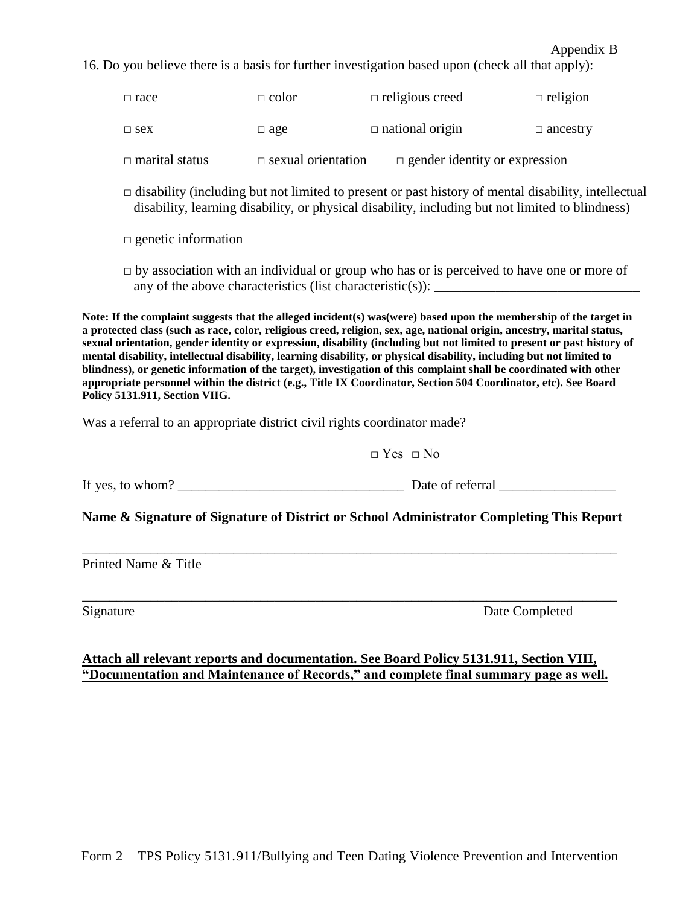#### Appendix B

16. Do you believe there is a basis for further investigation based upon (check all that apply):

| $\Box$ marital status | $\Box$ sexual orientation | $\Box$ gender identity or expression |                 |
|-----------------------|---------------------------|--------------------------------------|-----------------|
| $\Box$ sex            | $\Box$ age                | $\Box$ national origin               | $\Box$ ancestry |
| $\Box$ race           | $\Box$ color              | $\Box$ religious creed               | $\Box$ religion |

 $\Box$  disability (including but not limited to present or past history of mental disability, intellectual disability, learning disability, or physical disability, including but not limited to blindness)

□ genetic information

 $\Box$  by association with an individual or group who has or is perceived to have one or more of any of the above characteristics (list characteristic(s)):

**Note: If the complaint suggests that the alleged incident(s) was(were) based upon the membership of the target in a protected class (such as race, color, religious creed, religion, sex, age, national origin, ancestry, marital status, sexual orientation, gender identity or expression, disability (including but not limited to present or past history of mental disability, intellectual disability, learning disability, or physical disability, including but not limited to blindness), or genetic information of the target), investigation of this complaint shall be coordinated with other appropriate personnel within the district (e.g., Title IX Coordinator, Section 504 Coordinator, etc). See Board Policy 5131.911, Section VIIG.**

Was a referral to an appropriate district civil rights coordinator made?

 $\Box$  Yes  $\Box$  No

If yes, to whom? \_\_\_\_\_\_\_\_\_\_\_\_\_\_\_\_\_\_\_\_\_\_\_\_\_\_\_\_\_\_\_\_\_ Date of referral \_\_\_\_\_\_\_\_\_\_\_\_\_\_\_\_\_

**Name & Signature of Signature of District or School Administrator Completing This Report**

\_\_\_\_\_\_\_\_\_\_\_\_\_\_\_\_\_\_\_\_\_\_\_\_\_\_\_\_\_\_\_\_\_\_\_\_\_\_\_\_\_\_\_\_\_\_\_\_\_\_\_\_\_\_\_\_\_\_\_\_\_\_\_\_\_\_\_\_\_\_\_\_\_\_\_\_\_\_

\_\_\_\_\_\_\_\_\_\_\_\_\_\_\_\_\_\_\_\_\_\_\_\_\_\_\_\_\_\_\_\_\_\_\_\_\_\_\_\_\_\_\_\_\_\_\_\_\_\_\_\_\_\_\_\_\_\_\_\_\_\_\_\_\_\_\_\_\_\_\_\_\_\_\_\_\_\_

Printed Name & Title

Signature Date Completed

### **Attach all relevant reports and documentation. See Board Policy 5131.911, Section VIII, "Documentation and Maintenance of Records," and complete final summary page as well.**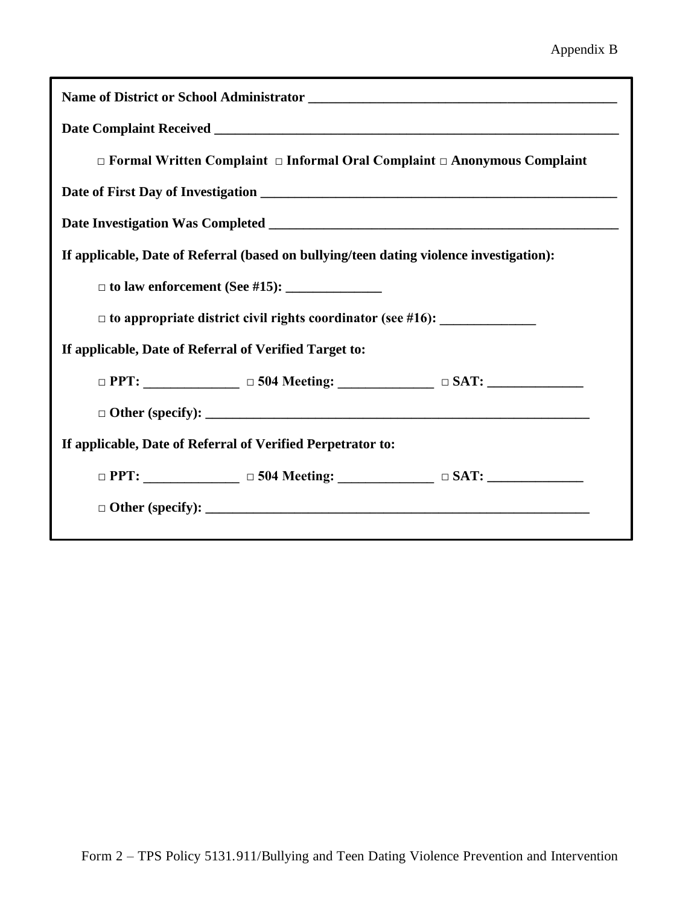| $\Box$ Formal Written Complaint $\Box$ Informal Oral Complaint $\Box$ Anonymous Complaint |                                                                  |  |  |  |  |
|-------------------------------------------------------------------------------------------|------------------------------------------------------------------|--|--|--|--|
|                                                                                           |                                                                  |  |  |  |  |
|                                                                                           |                                                                  |  |  |  |  |
| If applicable, Date of Referral (based on bullying/teen dating violence investigation):   |                                                                  |  |  |  |  |
|                                                                                           |                                                                  |  |  |  |  |
| $\Box$ to appropriate district civil rights coordinator (see #16): $\Box$                 |                                                                  |  |  |  |  |
| If applicable, Date of Referral of Verified Target to:                                    |                                                                  |  |  |  |  |
|                                                                                           | $\Box$ PPT: $\Box$ $\Box$ 504 Meeting: $\Box$ $\Box$ SAT: $\Box$ |  |  |  |  |
|                                                                                           |                                                                  |  |  |  |  |
| If applicable, Date of Referral of Verified Perpetrator to:                               |                                                                  |  |  |  |  |
|                                                                                           | $\Box$ PPT: $\Box$ $\Box$ 504 Meeting: $\Box$ $\Box$ SAT: $\Box$ |  |  |  |  |
|                                                                                           |                                                                  |  |  |  |  |
|                                                                                           |                                                                  |  |  |  |  |